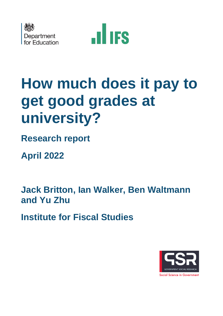



# **How much does it pay to get good grades at university?**

**Research report** 

 **April 2022** 

**Jack Britton, Ian Walker, Ben Waltmann and Yu Zhu** 

**Institute for Fiscal Studies** 

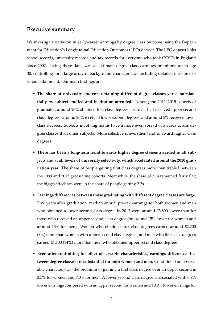## **Executive summary**

We investigate variation in early-career earnings by degree class outcome using the Department for Education's Longitudinal Education Outcomes (LEO) dataset. The LEO dataset links school records, university records and tax records for everyone who took GCSEs in England since 2002. Using these data, we can estimate degree class earnings premiums up to age 30, controlling for a large array of background characteristics including detailed measures of school attainment. Our main findings are:

- **The share of university students obtaining different degree classes varies substantially by subject studied and institution attended.** Among the 2012–2015 cohorts of graduates, around 20% obtained first class degrees; just over half received upper second class degrees; around 20% received lower second degrees; and around 5% received lower class degrees. Subjects involving maths have a more even spread of awards across degree classes than other subjects. More selective universities tend to award higher class degrees.
- **There has been a long-term trend towards higher degree classes awarded in all subjects and at all levels of university selectivity, which accelerated around the 2010 graduation year.** The share of people getting first class degrees more than trebled between the 1999 and 2015 graduating cohorts. Meanwhile, the share of 2.1s remained fairly flat; the biggest declines were in the share of people getting 2.2s.
- **Earnings differences between those graduating with different degree classes are large.** Five years after graduation, median annual pre-tax earnings for both women and men who obtained a lower second class degree in 2013 were around £3,800 lower than for those who received an upper second class degree (or around 15% lower for women and around 13% for men). Women who obtained first class degrees earned around £2,200 (8%) more than women with upper second class degrees, and men with first class degrees earned £4,100 (14%) more than men who obtained upper second class degrees.
- **Even after controlling for other observable characteristics, earnings differences between degree classes are substantial for both women and men.** Conditional on observable characteristics, the premium of gaining a first class degree over an upper second is 3.5% for women and 7.0% for men. A lower second class degree is associated with 6.9% lower earnings compared with an upper second for women and 10.9% lower earnings for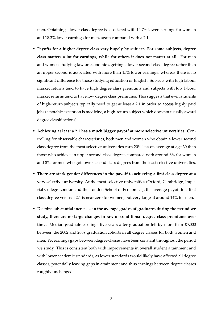men. Obtaining a lower class degree is associated with 14.7% lower earnings for women and 18.3% lower earnings for men, again compared with a 2.1.

- • **Payoffs for a higher degree class vary hugely by subject. For some subjects, degree class matters a lot for earnings, while for others it does not matter at all.** For men and women studying law or economics, getting a lower second class degree rather than an upper second is associated with more than 15% lower earnings, whereas there is no significant difference for those studying education or English. Subjects with high labour market returns tend to have high degree class premiums and subjects with low labour market returns tend to have low degree class premiums. This suggests that even students of high-return subjects typically need to get at least a 2.1 in order to access highly paid jobs (a notable exception is medicine, a high-return subject which does not usually award degree classifications).
- • **Achieving at least a 2.1 has a much bigger payoff at more selective universities.** Controlling for observable characteristics, both men and women who obtain a lower second class degree from the most selective universities earn 20% less on average at age 30 than those who achieve an upper second class degree, compared with around 6% for women and 8% for men who got lower second class degrees from the least selective universities.
- • **There are stark gender differences in the payoff to achieving a first class degree at a very selective university.** At the most selective universities (Oxford, Cambridge, Imperial College London and the London School of Economics), the average payoff to a first class degree versus a 2.1 is near zero for women, but very large at around 14% for men.
- • **Despite substantial increases in the average grades of graduates during the period we study, there are no large changes in raw or conditional degree class premiums over time.** Median graduate earnings five years after graduation fell by more than £5,000 between the 2002 and 2009 graduation cohorts in all degree classes for both women and men. Yet earnings gaps between degree classes have been constant throughout the period we study. This is consistent both with improvements in overall student attainment and with lower academic standards, as lower standards would likely have affected all degree classes, potentially leaving gaps in attainment and thus earnings between degree classes roughly unchanged.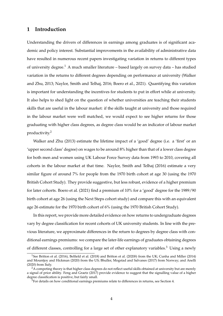# **1 Introduction**

Understanding the drivers of differences in earnings among graduates is of significant academic and policy interest. Substantial improvements in the availability of administrative data have resulted in numerous recent papers investigating variation in returns to different types of university degree.<sup>1</sup> A much smaller literature – based largely on survey data – has studied variation in the returns to different degrees depending on performance at university (Walker and Zhu, 2013; Naylor, Smith and Telhaj, 2016; Boero et al., 2021). Quantifying this variation is important for understanding the incentives for students to put in effort while at university. It also helps to shed light on the question of whether universities are teaching their students skills that are useful in the labour market: if the skills taught at university and those required in the labour market were well matched, we would expect to see higher returns for those graduating with higher class degrees, as degree class would be an indicator of labour market productivity.2

Walker and Zhu (2013) estimate the lifetime impact of a 'good' degree (i.e. a 'first' or an 'upper second class' degree) on wages to be around 8% higher than that of a lower class degree for both men and women using UK Labour Force Survey data from 1993 to 2010, covering all cohorts in the labour market at that time. Naylor, Smith and Telhaj (2016) estimate a very similar figure of around 7% for people from the 1970 birth cohort at age 30 (using the 1970 British Cohort Study). They provide suggestive, but less robust, evidence of a higher premium for later cohorts. Boero et al. (2021) find a premium of 10% for a 'good' degree for the 1989/90 birth cohort at age 26 (using the Next Steps cohort study) and compare this with an equivalent age 26 estimate for the 1970 birth cohort of 6% (using the 1970 British Cohort Study).

In this report, we provide more detailed evidence on how returns to undergraduate degrees vary by degree classification for recent cohorts of UK university students. In line with the previous literature, we approximate differences in the return to degrees by degree class with conditional earnings premiums: we compare the later-life earnings of graduates obtaining degrees of different classes, controlling for a large set of other explanatory variables.<sup>3</sup> Using a newly

<sup>1</sup>See Britton et al. (2016), Belfield et al. (2018) and Britton et al. (2020*b*) from the UK; Cunha and Miller (2014) and Mountjoy and Hickman (2020) from the US; Bhuller, Mogstad and Salvanes (2017) from Norway; and Anelli (2020) from Italy.

<sup>&</sup>lt;sup>2</sup>A competing theory is that higher class degrees do not reflect useful skills obtained at university but are merely a signal of prior ability. Feng and Graetz (2017) provide evidence to suggest that the signalling value of a higher degree classification is positive, but fairly small.

 $3$  For details on how conditional earnings premiums relate to differences in returns, see Section 4.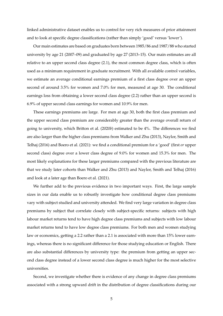linked administrative dataset enables us to control for very rich measures of prior attainment and to look at specific degree classifications (rather than simply 'good' versus 'lower').

Our main estimates are based on graduates born between 1985/86 and 1987/88 who started university by age 21 (2007–09) and graduated by age 27 (2013–15). Our main estimates are all relative to an upper second class degree (2.1), the most common degree class, which is often used as a minimum requirement in graduate recruitment. With all available control variables, we estimate an average conditional earnings premium of a first class degree over an upper second of around 3.5% for women and 7.0% for men, measured at age 30. The conditional earnings loss from obtaining a lower second class degree (2.2) rather than an upper second is 6.9% of upper second class earnings for women and 10.9% for men.

These earnings premiums are large. For men at age 30, both the first class premium and the upper second class premium are considerably greater than the average overall return of going to university, which Britton et al. (2020*b*) estimated to be 4%. The differences we find are also larger than the higher class premiums from Walker and Zhu (2013), Naylor, Smith and Telhaj (2016) and Boero et al. (2021): we find a conditional premium for a 'good' (first *or* upper second class) degree over a lower class degree of 9.0% for women and 15.3% for men. The most likely explanations for these larger premiums compared with the previous literature are that we study later cohorts than Walker and Zhu (2013) and Naylor, Smith and Telhaj (2016) and look at a later age than Boero et al. (2021).

We further add to the previous evidence in two important ways. First, the large sample sizes in our data enable us to robustly investigate how conditional degree class premiums vary with subject studied and university attended. We find very large variation in degree class premiums by subject that correlate closely with subject-specific returns: subjects with high labour market returns tend to have high degree class premiums and subjects with low labour market returns tend to have low degree class premiums. For both men and women studying law or economics, getting a 2.2 rather than a 2.1 is associated with more than 15% lower earnings, whereas there is no significant difference for those studying education or English. There are also substantial differences by university type: the premium from getting an upper second class degree instead of a lower second class degree is much higher for the most selective universities.

Second, we investigate whether there is evidence of any change in degree class premiums associated with a strong upward drift in the distribution of degree classifications during our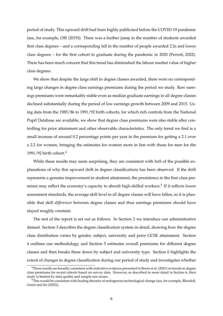period of study. This upward drift had been highly publicised before the COVID-19 pandemic (see, for example, OfS (2019)). There was a further jump in the number of students awarded first class degrees – and a corresponding fall in the number of people awarded 2.2s and lower class degrees – for the first cohort to graduate during the pandemic in 2020 (Perrott, 2022). There has been much concern that this trend has diminished the labour market value of higher class degrees.

We show that despite the large shift in degree classes awarded, there were no corresponding large changes in degree class earnings premiums during the period we study. Raw earnings premiums were remarkably stable even as median graduate earnings in all degree classes declined substantially during the period of low earnings growth between 2009 and 2015. Using data from the 1985/86 to 1991/92 birth cohorts, for which rich controls from the National Pupil Database are available, we show that degree class premiums were also stable after controlling for prior attainment and other observable characteristics. The only trend we find is a small increase of around 0.2 percentage points per year in the premium for getting a 2.1 over a 2.2 for women, bringing the estimates for women more in line with those for men for the 1991/92 birth cohort.<sup>4</sup>

While these results may seem surprising, they are consistent with *both* of the possible explanations of why this upward drift in degree classifications has been observed. If the drift represents a genuine improvement in student attainment, the persistence in the first class premium may reflect the economy's capacity to absorb high-skilled workers.<sup>5</sup> If it reflects lower assessment standards, the average skill level in *all* degree classes will have fallen, so it is plausible that skill *differences* between degree classes and thus earnings premiums should have stayed roughly constant.

The rest of the report is set out as follows. In Section 2 we introduce our administrative dataset. Section 3 describes the degree classification system in detail, showing how the degree class distribution varies by gender, subject, university and prior GCSE attainment. Section 4 outlines our methodology, and Section 5 estimates overall premiums for different degree classes and then breaks these down by subject and university type. Section 6 highlights the extent of changes in degree classification during our period of study and investigates whether

<sup>4</sup>These results are broadly consistent with indicative evidence presented in Boero et al. (2021) on trends in degree class premiums for recent cohorts based on survey data. However, as described in more detail in Section 6, their study is limited by data quality and sample size issues.

<sup>&</sup>lt;sup>5</sup>This would be consistent with leading theories of endogenous technological change (see, for example, Blundell, Green and Jin (2022)).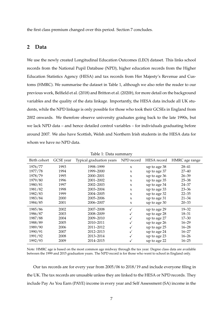the first class premium changed over this period. Section 7 concludes.

## **2 Data**

We use the newly created Longitudinal Education Outcomes (LEO) dataset. This links school records from the National Pupil Database (NPD), higher education records from the Higher Education Statistics Agency (HESA) and tax records from Her Majesty's Revenue and Customs (HMRC). We summarise the dataset in Table 1, although we also refer the reader to our previous work, Belfield et al. (2018) and Britton et al. (2020*b*), for more detail on the background variables and the quality of the data linkage. Importantly, the HESA data include all UK students, while the NPD linkage is only possible for those who took their GCSEs in England from 2002 onwards. We therefore observe university graduates going back to the late 1990s, but we lack NPD data – and hence detailed control variables – for individuals graduating before around 2007. We also have Scottish, Welsh and Northern Irish students in the HESA data for whom we have no NPD data.

| Birth cohort | GCSE year | Typical graduation years | NPD record          | HESA record  | HMRC age range |
|--------------|-----------|--------------------------|---------------------|--------------|----------------|
| 1976/77      | 1993      | 1998-1999                | $\boldsymbol{\chi}$ | up to age 38 | $28 - 41$      |
| 1977/78      | 1994      | 1999-2000                | $\boldsymbol{\chi}$ | up to age 37 | $27 - 40$      |
| 1978/79      | 1995      | 2000-2001                | $\boldsymbol{\chi}$ | up to age 36 | $26 - 39$      |
| 1979/80      | 1996      | 2001-2002                | $\boldsymbol{\chi}$ | up to age 35 | $25 - 38$      |
| 1980/81      | 1997      | 2002-2003                | $\boldsymbol{\chi}$ | up to age 34 | $24 - 37$      |
| 1981/82      | 1998      | 2003-2004                | $\boldsymbol{\chi}$ | up to age 33 | $23 - 36$      |
| 1982/83      | 1999      | 2004-2005                | $\boldsymbol{\chi}$ | up to age 32 | $22 - 35$      |
| 1983/84      | 2000      | 2005-2006                | $\boldsymbol{\chi}$ | up to age 31 | $21 - 34$      |
| 1984/85      | 2001      | 2006-2007                | X                   | up to age 30 | $20 - 33$      |
| 1985/86      | 2002      | 2007-2008                | ✓                   | up to age 29 | $19 - 32$      |
| 1986/87      | 2003      | 2008-2009                | ✓                   | up to age 28 | $18 - 31$      |
| 1987/88      | 2004      | 2009-2010                | ✓                   | up to age 27 | $17 - 30$      |
| 1988/89      | 2005      | 2010-2011                | ✓                   | up to age 26 | $16 - 29$      |
| 1989/90      | 2006      | 2011-2012                | ✓                   | up to age 25 | $16 - 28$      |
| 1990/91      | 2007      | 2012-2013                | $\checkmark$        | up to age 24 | $16 - 27$      |
| 1991/92      | 2008      | 2013-2014                | ✓                   | up to age 23 | $16 - 26$      |
| 1992/93      | 2009      | 2014-2015                | ✓                   | up to age 22 | $16 - 25$      |

Table 1: Data summary

Note: HMRC age is based on the most common age midway through the tax year. Degree class data are available between the 1999 and 2015 graduation years. The NPD record is for those who went to school in England only.

Our tax records are for every year from 2005/06 to 2018/19 and include everyone filing in the UK. The tax records are unusable unless they are linked to the HESA or NPD records. They include Pay As You Earn (PAYE) income in every year and Self Assessment (SA) income in the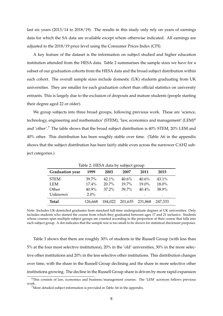last six years (2013/14 to 2018/19). The results in this study only rely on years of earnings data for which the SA data are available except where otherwise indicated. All earnings are adjusted to the 2018/19 price level using the Consumer Prices Index (CPI).

A key feature of the dataset is the information on subject studied and higher education institution attended from the HESA data. Table 2 summarises the sample sizes we have for a subset of our graduation cohorts from the HESA data and the broad subject distribution within each cohort. The overall sample sizes include domestic (UK) students graduating from UK universities. They are smaller for each graduation cohort than official statistics on university entrants. This is largely due to the exclusion of dropouts and mature students (people starting their degree aged 22 or older).

We group subjects into three broad groups, following previous work. These are 'science, technology, engineering and mathematics' (STEM), 'law, economics and management' (LEM)<sup>6</sup> and 'other'.7 The table shows that the broad subject distribution is 40% STEM, 20% LEM and 40% other. This distribution has been roughly stable over time. (Table A6 in the appendix shows that the subject distribution has been fairly stable even across the narrower CAH2 subject categories.)

|                        |          | Table 2. TILDA data by subject group |          |          |         |  |
|------------------------|----------|--------------------------------------|----------|----------|---------|--|
| <b>Graduation year</b> | 1999     | 2003                                 | 2007     | 2011     | 2015    |  |
| <b>STEM</b>            | $39.7\%$ | $42.1\%$                             | 40.6%    | 40.6%    | 43.1%   |  |
| LEM                    | $17.4\%$ | 20.7%                                | 19.7%    | 19.0%    | 18.0%   |  |
| Other                  | 40.9%    | $37.2\%$                             | $39.7\%$ | $40.4\%$ | 38.9%   |  |
| Unknown                | $2.0\%$  |                                      |          |          |         |  |
| <b>Total</b>           | 126,668  | 184,022                              | 201,635  | 231,868  | 247.333 |  |

Table 2: HESA data by subject group

Note: Includes UK-domiciled graduates from standard full-time undergraduate degrees at UK universities. Only includes students who started the course from which they graduated between ages 17 and 21 inclusive. Students whose courses span multiple subject groups are counted according to the proportion of their course that falls into each subject group. A dot indicates that the sample size is too small to be shown for statistical disclosure purposes.

Table 3 shows that there are roughly 30% of students in the Russell Group (with less than 5% at the four most selective institutions), 20% in the 'old' universities, 30% in the more selective other institutions and 20% in the less selective other institutions. This distribution changes over time, with the share in the Russell Group declining and the share in more selective other institutions growing. The decline in the Russell Group share is driven by more rapid expansion

<sup>6</sup>This consists of law, economics and business/management courses. The 'LEM' acronym follows previous work.

<sup>&</sup>lt;sup>7</sup>More detailed subject information is provided in Table A6 in the appendix.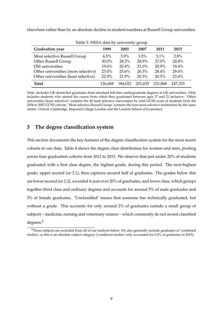elsewhere rather than by an absolute decline in student numbers at Russell Group universities.

| Table 3: HESA data by university group |          |          |          |          |         |  |  |  |
|----------------------------------------|----------|----------|----------|----------|---------|--|--|--|
| <b>Graduation</b> year                 | 1999     | 2003     | 2007     | 2011     | 2015    |  |  |  |
| Most selective Russell Group           | 4.5%     | $3.9\%$  | 3.5%     | $3.1\%$  | $2.8\%$ |  |  |  |
| Other Russell Group                    | 30.0%    | 28.2%    | 28.9%    | $27.0\%$ | 24.8%   |  |  |  |
| Old universities                       | 19.6%    | $20.4\%$ | $21.0\%$ | $20.9\%$ | 19.4%   |  |  |  |
| Other universities (more selective)    | $23.0\%$ | $25.6\%$ | 26.3%    | $28.4\%$ | 29.6%   |  |  |  |
| Other universities (least selective)   | 22.9%    | 21.9%    | $20.3\%$ | 20.5%    | 23.4%   |  |  |  |
| Total                                  | 126,668  | 184.022  | 201,635  | 231.868  | 247,333 |  |  |  |

Note: Includes UK-domiciled graduates from standard full-time undergraduate degrees at UK universities. Only includes students who started the course from which they graduated between ages 17 and 21 inclusive. 'Other universities (least selective)' contains the 40 least selective universities by total GCSE score of students from the 2004 to 2007 GCSE cohorts. 'Most selective Russell Group' contains the four most selective institutions by the same metric: Oxford, Cambridge, Imperial College London and the London School of Economics.

# **3 The degree classification system**

This section documents the key features of the degree classification system for the most recent cohorts in our data. Table 4 shows the degree class distribution for women and men, pooling across four graduation cohorts from 2012 to 2015. We observe that just under 20% of students graduated with a first class degree, the highest grade, during this period. The next-highest grade, upper second (or 2.1), then captures around half of graduates. The grades below this are lower second (or 2.2), awarded to just over 20% of graduates, and lower class, which groups together third class and ordinary degrees and accounts for around 5% of male graduates and 3% of female graduates. 'Unclassified' means that someone has technically graduated, but without a grade. This accounts for only around 2% of graduates outside a small group of subjects – medicine, nursing and veterinary science – which commonly do not award classified degrees.8

<sup>8</sup>These subjects are excluded from all of our analysis below. We also generally exclude graduates of 'combined studies', as this is an obsolete subject category ('combined studies' only accounted for 0.2% of graduates in 2015).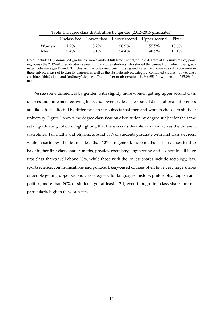| Table 4: Degree class distribution by gender (2012–2015 graduates) |         |         |          |                                                    |          |  |  |  |
|--------------------------------------------------------------------|---------|---------|----------|----------------------------------------------------|----------|--|--|--|
|                                                                    |         |         |          | Unclassified Lower class Lower second Upper second | First    |  |  |  |
| <b>Women</b>                                                       | $1.7\%$ | $3.2\%$ | 20.9%    | $55.5\%$                                           | $18.6\%$ |  |  |  |
| Men                                                                | $2.4\%$ | $5.1\%$ | $24.4\%$ | 48.9%                                              | $19.1\%$ |  |  |  |

Note: Includes UK-domiciled graduates from standard full-time undergraduate degrees at UK universities, pooling across the 2012–2015 graduation years. Only includes students who started the course from which they graduated between ages 17 and 21 inclusive. Excludes medicine, nursing and veterinary science, as it is common in these subject areas not to classify degrees, as well as the obsolete subject category 'combined studies'. Lower class combines 'third class' and 'ordinary' degrees. The number of observations is 646,659 for women and 525,996 for men.

We see some differences by gender, with slightly more women getting upper second class degrees and more men receiving firsts and lower grades. These small distributional differences are likely to be affected by differences in the subjects that men and women choose to study at university. Figure 1 shows the degree classification distribution by degree subject for the same set of graduating cohorts, highlighting that there is considerable variation across the different disciplines. For maths and physics, around 35% of students graduate with first class degrees, while in sociology the figure is less than 12%. In general, more maths-based courses tend to have higher first class shares: maths, physics, chemistry, engineering and economics all have first class shares well above 20%, while those with the lowest shares include sociology, law, sports science, communications and politics. Essay-based courses often have very large shares of people getting upper second class degrees: for languages, history, philosophy, English and politics, more than 80% of students get at least a 2.1, even though first class shares are not particularly high in these subjects.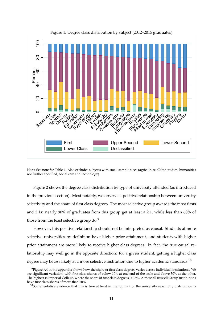

Figure 1: Degree class distribution by subject (2012–2015 graduates)

Note: See note for Table 4. Also excludes subjects with small sample sizes (agriculture, Celtic studies, humanities not further specified, social care and technology).

Figure 2 shows the degree class distribution by type of university attended (as introduced in the previous section). Most notably, we observe a positive relationship between university selectivity and the share of first class degrees. The most selective group awards the most firsts and 2.1s: nearly 90% of graduates from this group get at least a 2.1, while less than 60% of those from the least selective group do.<sup>9</sup>

However, this positive relationship should not be interpreted as causal. Students at more selective universities by definition have higher prior attainment, and students with higher prior attainment are more likely to receive higher class degrees. In fact, the true causal relationship may well go in the opposite direction: for a given student, getting a higher class degree may be *less* likely at a more selective institution due to higher academic standards.<sup>10</sup>

 $9$ Figure A4 in the appendix shows how the share of first class degrees varies across individual institutions. We see significant variation, with first class shares of below 10% at one end of the scale and above 30% at the other. The highest is Imperial College, where the share of first class degrees is 36%. Almost all Russell Group institutions have first class shares of more than 20%.

 $10$ Some tentative evidence that this is true at least in the top half of the university selectivity distribution is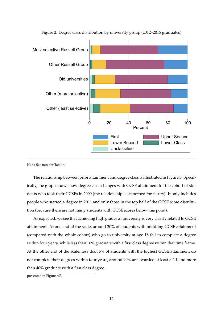

Figure 2: Degree class distribution by university group (2012–2015 graduates)

Note: See note for Table 4.

The relationship between prior attainment and degree class is illustrated in Figure 3. Specifically, the graph shows how degree class changes with GCSE attainment for the cohort of students who took their GCSEs in 2009 (the relationship is smoothed for clarity). It only includes people who started a degree in 2011 and only those in the top half of the GCSE score distribution (because there are not many students with GCSE scores below this point).

As expected, we see that achieving high grades at university is very clearly related to GCSE attainment. At one end of the scale, around 20% of students with middling GCSE attainment (compared with the whole cohort) who go to university at age 18 fail to complete a degree within four years, while less than 10% graduate with a first class degree within that time frame. At the other end of the scale, less than 5% of students with the highest GCSE attainment do not complete their degrees within four years, around 90% are awarded at least a 2.1 and more than 40% graduate with a first class degree.

presented in Figure A7.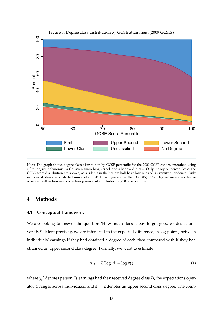

Figure 3: Degree class distribution by GCSE attainment (2009 GCSEs)

Note: The graph shows degree class distribution by GCSE percentile for the 2009 GCSE cohort, smoothed using a first-degree polynomial, a Gaussian smoothing kernel, and a bandwidth of 5. Only the top 50 percentiles of the GCSE score distribution are shown, as students in the bottom half have low rates of university attendance. Only includes students who started university in 2011 (two years after their GCSEs). 'No Degree' means no degree observed within four years of entering university. Includes 186,260 observations.

## **4 Methods**

#### **4.1 Conceptual framework**

We are looking to answer the question 'How much does it pay to get good grades at university?'. More precisely, we are interested in the expected difference, in log points, between individuals' earnings if they had obtained a degree of each class compared with if they had obtained an upper second class degree. Formally, we want to estimate

$$
\Delta_D = E(\log y_i^D - \log y_i^2) \tag{1}
$$

where  $y_i^D$  denotes person *i*'s earnings had they received degree class *D*, the expectations operator *E* ranges across individuals, and  $d = 2$  denotes an upper second class degree. The coun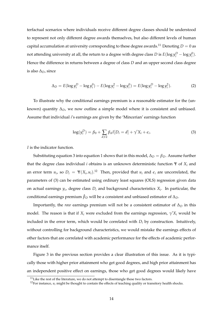terfactual scenarios where individuals receive different degree classes should be understood to represent not only different degree awards themselves, but also different levels of human capital accumulation at university corresponding to these degree awards.<sup>11</sup> Denoting  $D = 0$  as not attending university at all, the return to a degree with degree class  $D$  is  $E(\log y_i^D - \log y_i^0)$ . Hence the difference in returns between a degree of class *D* and an upper second class degree is also Δ*D*, since

$$
\Delta_D = E(\log y_i^D - \log y_i^0) - E(\log y_i^2 - \log y_i^0) = E(\log y_i^D - \log y_i^2). \tag{2}
$$

To illustrate why the conditional earnings premium is a reasonable estimator for the (unknown) quantity  $\Delta_D$ , we now outline a simple model where it is consistent and unbiased. Assume that individual *i*'s earnings are given by the 'Mincerian' earnings function

$$
\log(y_i^D) = \beta_0 + \sum_{d \neq 2} \beta_d I[D_i = d] + \gamma' X_i + \epsilon_i.
$$
 (3)

*I* is the indicator function.

Substituting equation 3 into equation 1 shows that in this model,  $\Delta_D = \beta_D$ . Assume further that the degree class individual *i* obtains is an unknown deterministic function Ψ of *Xi* and an error term  $u_i$ , so  $D_i = \Psi(X_i, u_i)$ .<sup>12</sup> Then, provided that  $u_i$  and  $\epsilon_i$  are uncorrelated, the parameters of (3) can be estimated using ordinary least squares (OLS) regression given data on actual earnings *yi*, degree class *Di* and background characteristics *Xi*. In particular, the conditional earnings premium  $\hat{\beta}_D$  will be a consistent and unbiased estimator of  $\Delta_D$ .

Importantly, the *raw* earnings premium will not be a consistent estimator of  $\Delta_D$  in this model. The reason is that if  $X_i$  were excluded from the earnings regression,  $\gamma' X_i$  would be included in the error term, which would be correlated with  $D_i$  by construction. Intuitively, without controlling for background characteristics, we would mistake the earnings effects of other factors that are correlated with academic performance for the effects of academic performance itself.

Figure 3 in the previous section provides a clear illustration of this issue. As it is typically those with higher prior attainment who get good degrees, and high prior attainment has an independent positive effect on earnings, those who get good degrees would likely have

 $11$ Like the rest of the literature, we do not attempt to disentangle these two factors.

<sup>&</sup>lt;sup>12</sup>For instance,  $u_i$  might be thought to contain the effects of teaching quality or transitory health shocks.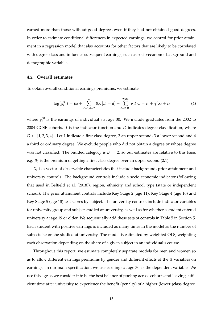earned more than those without good degrees even if they had not obtained good degrees. In order to estimate conditional differences in expected earnings, we control for prior attainment in a regression model that also accounts for other factors that are likely to be correlated with degree class and influence subsequent earnings, such as socio-economic background and demographic variables.

#### **4.2 Overall estimates**

To obtain overall conditional earnings premiums, we estimate

$$
\log(y_i^{30}) = \beta_0 + \sum_{d=1, d=2}^{4} \beta_d I[D=d] + \sum_{c=2003}^{2004} \delta_c I[C=c] + \gamma' X_i + \epsilon_i
$$
 (4)

where  $y_i^{30}$  is the earnings of individual *i* at age 30. We include graduates from the 2002 to 2004 GCSE cohorts. *I* is the indicator function and *D* indicates degree classification, where *D* ∈ {1, 2, 3, 4}. Let 1 indicate a first class degree, 2 an upper second, 3 a lower second and 4 a third or ordinary degree. We exclude people who did not obtain a degree or whose degree was not classified. The omitted category is  $D = 2$ , so our estimates are relative to this base: e.g.  $\beta_1$  is the premium of getting a first class degree over an upper second (2.1).

*Xi* is a vector of observable characteristics that include background, prior attainment and university controls. The background controls include a socio-economic indicator (following that used in Belfield et al. (2018)), region, ethnicity and school type (state or independent school). The prior attainment controls include Key Stage 2 (age 11), Key Stage 4 (age 16) and Key Stage 5 (age 18) test scores by subject. The university controls include indicator variables for university group and subject studied at university, as well as for whether a student entered university at age 19 or older. We sequentially add these sets of controls in Table 5 in Section 5. Each student with positive earnings is included as many times in the model as the number of subjects he or she studied at university. The model is estimated by weighted OLS, weighting each observation depending on the share of a given subject in an individual's course.

Throughout this report, we estimate completely separate models for men and women so as to allow different earnings premiums by gender and different effects of the *X* variables on earnings. In our main specification, we use earnings at age 30 as the dependent variable. We use this age as we consider it to be the best balance of pooling across cohorts and leaving sufficient time after university to experience the benefit (penalty) of a higher-(lower-)class degree.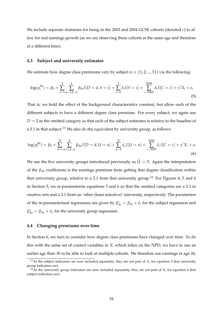We include separate dummies for being in the 2003 and 2004 GCSE cohorts (denoted *c*) to allow for real earnings growth (as we are observing these cohorts at the same age and therefore at a different time).

#### **4.3 Subject and university estimates**

We estimate how degree class premiums vary by subject ( $s \in \{1, 2, ..., \overline{S}\}\)$  via the following:

$$
\log(y_i^{30}) = \beta_0 + \sum_{s=1}^{\bar{S}} \sum_{d=1,d=2}^4 \beta_{ds} I[D=d, S=s] + \sum_{s=2}^{\bar{S}} \delta_s I[S=s] + \sum_{c=2003}^{2004} \delta_c I[C=c] + \gamma' X_i + \epsilon_i
$$
\n(5)

That is, we hold the effect of the background characteristics constant, but allow each of the different subjects to have a different degree class premium. For every subject, we again use  $D = 2$  as the omitted category so that each of the subject estimates is relative to the baseline of a 2.1 in that subject.<sup>13</sup> We also do the equivalent by university group, as follows:

$$
\log(y_i^{30}) = \beta_0 + \sum_{u=1}^{\bar{U}} \sum_{d=1,d=2}^4 \beta_{du} I[D=d, U=u] + \sum_{u=2}^{\bar{U}} \delta_u I[U=u] + \sum_{c=2003}^{2004} \delta_c I[C=c] + \gamma' X_i + \epsilon_i
$$
\n(6)

We use the five university groups introduced previously, so  $\bar{U} = 5$ . Again the interpretation of the  $\beta_{du}$  coefficients is the earnings premium from getting that degree classification within that univerisity group, relative to a 2.1 from that university group.<sup>14</sup> For Figures 4, 5 and 6 in Section 5, we re-parameterise equations 5 and 6 so that the omitted categories are a 2.1 in creative arts and a 2.1 from an 'other (least selective)' university, respectively. The parameters of the re-parameterised regressions are given by  $\beta_{ds}^* = \beta_{ds} + \delta_s$  for the subject regression and  $\beta_{du}^* = \beta_{du} + \delta_u$  for the university group regression.

#### **4.4 Changing premiums over time**

In Section 6, we turn to consider how degree class premiums have changed over time. To do this with the same set of control variables in *X*, which relies on the NPD, we have to use an earlier age than 30 to be able to look at multiple cohorts. We therefore use earnings at age 26,

<sup>&</sup>lt;sup>13</sup>As the subject indicators are now included separately, they are not part of  $X_i$  for equation 5 (but university group indicators are).

<sup>&</sup>lt;sup>14</sup>As the university group indicators are now included separately, they are not part of  $X_i$  for equation 6 (but subject indicators are).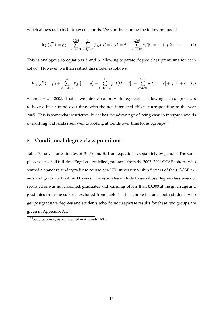which allows us to include seven cohorts. We start by running the following model:

$$
\log(y_i^{26}) = \beta_0 + \sum_{c=2003}^{2008} \sum_{d=1,d=2}^4 \beta_{dc} I[C = c, D = d] + \sum_{c=2003}^{2008} \delta_c I[C = c] + \gamma' X_i + \epsilon_i \tag{7}
$$

This is analogous to equations 5 and 6, allowing separate degree class premiums for each cohort. However, we then restrict this model as follows:

$$
\log(y_i^{26}) = \beta_0 + \sum_{d=1,d=2}^4 \beta_d^1 I[D=d] + \sum_{d=1,d=2}^4 \beta_d^2 I[D=d]t + \sum_{c=2003}^{2008} \delta_c I[C=c] + \gamma' X_i + \epsilon_i \quad (8)
$$

where  $t = c - 2005$ . That is, we interact cohort with degree class, allowing each degree class to have a linear trend over time, with the non-interacted effects corresponding to the year 2005. This is somewhat restrictive, but it has the advantage of being easy to interpret, avoids over-fitting and lends itself well to looking at trends over time for subgroups.15

# **5 Conditional degree class premiums**

Table 5 shows our estimates of *β*1, *β*3 and *β*4 from equation 4, separately by gender. The sample consists of all full-time English-domiciled graduates from the 2002–2004 GCSE cohorts who started a standard undergraduate course at a UK university within 5 years of their GCSE exams and graduated within 11 years. The estimates exclude those whose degree class was not recorded or was not classified, graduates with earnings of less than £3,000 at the given age and graduates from the subjects excluded from Table 4. The sample includes both students who get postgraduate degrees and students who do not; separate results for these two groups are given in Appendix A1.

<sup>15</sup>Subgroup analysis is presented in Appendix A3.2.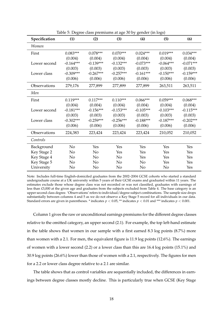| Specification | (1)            | (2)         | (3)         | (4)         | (5)         | (6)         |
|---------------|----------------|-------------|-------------|-------------|-------------|-------------|
| Women         |                |             |             |             |             |             |
| First         | $0.083***$     | $0.078***$  | $0.070***$  | $0.024***$  | $0.019***$  | $0.034***$  |
|               | (0.004)        | (0.004)     | (0.004)     | (0.004)     | (0.004)     | (0.004)     |
| Lower second  | $-0.164***$    | $-0.139***$ | $-0.132***$ | $-0.073***$ | $-0.064***$ | $-0.071***$ |
|               | (0.003)        | (0.003)     | (0.003)     | (0.003)     | (0.003)     | (0.003)     |
| Lower class   | $-0.309***$    | $-0.267***$ | $-0.257***$ | $-0.161***$ | $-0.150***$ | $-0.159***$ |
|               | (0.006)        | (0.006)     | (0.006)     | (0.006)     | (0.006)     | (0.006)     |
| Observations  | 279,176        | 277,899     | 277,899     | 277,899     | 263,511     | 263,511     |
| Men           |                |             |             |             |             |             |
| First         | $0.119***$     | $0.117***$  | $0.110***$  | $0.066***$  | $0.059***$  | $0.068***$  |
|               | (0.004)        | (0.004)     | (0.004)     | (0.004)     | (0.004)     | (0.004)     |
| Lower second  | $-0.181***$    | $-0.156***$ | $-0.153***$ | $-0.105***$ | $-0.103***$ | $-0.115***$ |
|               | (0.003)        | (0.003)     | (0.003)     | (0.003)     | (0.003)     | (0.003)     |
| Lower class   | $-0.302***$    | $-0.259***$ | $-0.256***$ | $-0.188***$ | $-0.187***$ | $-0.202***$ |
|               | (0.006)        | (0.006)     | (0.006)     | (0.006)     | (0.006)     | (0.006)     |
| Observations  | 224,383        | 223,424     | 223,424     | 223,424     | 210,052     | 210,052     |
| Controls      |                |             |             |             |             |             |
| Background    | N <sub>o</sub> | Yes         | Yes         | Yes         | Yes         | Yes         |
| Key Stage 2   | No             | No          | Yes         | Yes         | Yes         | Yes         |
| Key Stage 4   | No             | No          | No          | Yes         | Yes         | Yes         |
| Key Stage 5   | No             | No          | No          | No          | Yes         | Yes         |
| University    | No             | No          | No          | No          | No          | Yes         |

Table 5: Degree class premiums at age 30 by gender (in logs)

Note: Includes full-time English-domiciled graduates from the 2002–2004 GCSE cohorts who started a standard undergraduate course at a UK university within 5 years of their GCSE exams and graduated within 11 years. The estimates exclude those whose degree class was not recorded or was not classified, graduates with earnings of less than £3,000 at the given age and graduates from the subjects excluded from Table 4. The base category is an upper second class degree. 'Observations' refers to individual/degree subject combinations. The sample size drops substantially between columns 4 and 5 as we do not observe a Key Stage 5 record for all individuals in our data. Standard errors are given in parentheses. \* indicates  $p < 0.05$ , \*\* indicates  $p < 0.01$  and \*\*\* indicates  $p < 0.001$ .

Column 1 gives the raw or unconditional earnings premiums for the different degree classes relative to the omitted category, an upper second (2.1). For example, the top left-hand estimate in the table shows that women in our sample with a first earned 8.3 log points (8.7%) more than women with a 2.1. For men, the equivalent figure is 11.9 log points (12.6%). The earnings of women with a lower second (2.2) or a lower class than this are 16.4 log points (15.1%) and 30.9 log points (26.6%) lower than those of women with a 2.1, respectively. The figures for men for a 2.2 or lower class degree relative to a 2.1 are similar.

The table shows that as control variables are sequentially included, the differences in earnings between degree classes mostly decline. This is particularly true when GCSE (Key Stage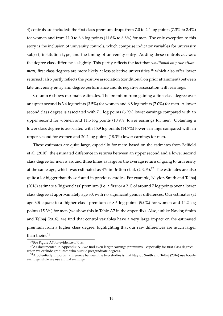4) controls are included: the first class premium drops from 7.0 to 2.4 log points (7.3% to 2.4%) for women and from 11.0 to 6.6 log points (11.6% to 6.8%) for men. The only exception to this story is the inclusion of university controls, which comprise indicator variables for university subject, institution type, and the timing of university entry. Adding these controls *increases*  the degree class differences slightly. This partly reflects the fact that *conditional on prior attainment*, first class degrees are more likely at less selective universities,<sup>16</sup> which also offer lower returns.It also partly reflects the positive association (conditional on prior attainment) between late university entry and degree performance and its negative association with earnings.

Column 6 shows our main estimates. The premium from gaining a first class degree over an upper second is 3.4 log points (3.5%) for women and 6.8 log points (7.0%) for men. A lower second class degree is associated with 7.1 log points (6.9%) lower earnings compared with an upper second for women and 11.5 log points (10.9%) lower earnings for men. Obtaining a lower class degree is associated with 15.9 log points (14.7%) lower earnings compared with an upper second for women and 20.2 log points (18.3%) lower earnings for men.

These estimates are quite large, especially for men: based on the estimates from Belfield et al. (2018), the estimated difference in returns between an upper second and a lower second class degree for men is around three times as large as the average return of going to university at the same age, which was estimated as 4% in Britton et al. (2020*b*).17 The estimates are also quite a lot bigger than those found in previous studies. For example, Naylor, Smith and Telhaj (2016) estimate a 'higher class' premium (i.e. a first or a 2.1) of around 7 log points over a lower class degree at approximately age 30, with no significant gender differences. Our estimates (at age 30) equate to a 'higher class' premium of 8.6 log points (9.0%) for women and 14.2 log points (15.3%) for men (we show this in Table A7 in the appendix). Also, unlike Naylor, Smith and Telhaj (2016), we find that control variables have a very large impact on the estimated premium from a higher class degree, highlighting that our raw differences are much larger than theirs.<sup>18</sup>

<sup>&</sup>lt;sup>16</sup>See Figure A7 for evidence of this.

<sup>&</sup>lt;sup>17</sup>As documented in Appendix A1, we find even larger earnings premiums – especially for first class degrees – when we exclude graduates who pursue postgraduate degrees.

 $18A$  potentially important difference between the two studies is that Naylor, Smith and Telhaj (2016) use hourly earnings while we use annual earnings.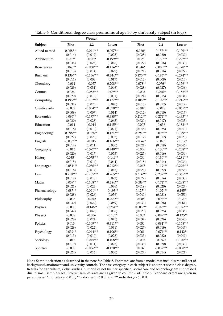|                    |             | Women       |             |            | Men         |             |
|--------------------|-------------|-------------|-------------|------------|-------------|-------------|
| Subject            | First       | 2.2         | Lower       | First      | 2.2         | Lower       |
| Allied to med      | $0.068***$  | $-0.041***$ | $-0.097***$ | $0.060*$   | $-0.153***$ | $-0.179***$ |
|                    | (0.014)     | (0.012)     | (0.025)     | (0.025)    | (0.020)     | (0.039)     |
| Architecture       | $0.067*$    | $-0.032$    | $-0.199***$ | 0.026      | $-0.150***$ | $-0.222***$ |
|                    | (0.034)     | (0.025)     | (0.046)     | (0.022)    | (0.016)     | (0.030)     |
| <b>Biosciences</b> | $0.048**$   | $-0.068***$ | $-0.114***$ | $0.046*$   | $-0.083***$ | $-0.178***$ |
|                    | (0.015)     | (0.014)     | (0.029)     | (0.021)    | (0.016)     | (0.027)     |
| <b>Business</b>    | $0.136***$  | $-0.136***$ | $-0.244***$ | $0.175***$ | $-0.186***$ | $-0.274***$ |
|                    | (0.011)     | (0.008)     | (0.017)     | (0.012)    | (0.008)     | (0.014)     |
| Chemistry          | $-0.011$    | $-0.057$    | $-0.208***$ | $0.078**$  | $-0.076**$  | $-0.159***$ |
|                    | (0.029)     | (0.031)     | (0.046)     | (0.028)    | (0.027)     | (0.036)     |
| Comms              | 0.026       | $-0.052***$ | $-0.098**$  | $-0.003$   | $-0.046**$  | $-0.152***$ |
|                    | (0.020)     | (0.013)     | (0.031)     | (0.024)    | (0.015)     | (0.031)     |
| Computing          | $0.195***$  | $-0.102***$ | $-0.177***$ | $0.108***$ | $-0.107***$ | $-0.215***$ |
|                    | (0.031)     | (0.025)     | (0.040)     | (0.013)    | (0.012)     | (0.017)     |
| Creative arts      | $-0.007$    | $-0.034***$ | $-0.078***$ | $-0.010$   | $-0.018$    | $-0.065***$ |
|                    | (0.009)     | (0.007)     | (0.014)     | (0.012)    | (0.010)     | (0.017)     |
| Economics          | $0.095**$   | $-0.177***$ | $-0.388***$ | $0.212***$ | $-0.274***$ | $-0.433***$ |
|                    | (0.030)     | (0.028)     | (0.065)     | (0.020)    | (0.017)     | (0.035)     |
| Education          | $-0.014$    | $-0.014$    | $-0.115***$ | $-0.007$   | $-0.036$    | $-0.182***$ |
|                    | (0.018)     | (0.010)     | (0.021)     | (0.045)    | (0.025)     | (0.043)     |
| Engineering        | $0.098***$  | $-0.076**$  | $-0.174***$ | $0.091***$ | $-0.095***$ | $-0.199***$ |
|                    | (0.027)     | (0.029)     | (0.053)     | (0.012)    | (0.012)     | (0.020)     |
| English            | $-0.053***$ | $-0.015$    | $-0.166***$ | $-0.042*$  | $-0.023$    | $-0.112*$   |
|                    | (0.014)     | (0.011)     | (0.030)     | (0.021)    | (0.019)     | (0.046)     |
| Geography          | $-0.013$    | $-0.097***$ | $-0.248***$ | $-0.036$   | $-0.130***$ | $-0.238***$ |
|                    | (0.020)     | (0.017)     | (0.055)     | (0.025)    | (0.016)     | (0.034)     |
| History            | $0.035*$    | $-0.075***$ | $-0.144**$  | 0.034      | $-0.130***$ | $-0.281***$ |
|                    | (0.015)     | (0.014)     | (0.044)     | (0.018)    | (0.014)     | (0.036)     |
| Languages          | $-0.054***$ | $-0.086***$ | $-0.212***$ | $-0.047$   | $-0.119***$ | $-0.296***$ |
|                    | (0.016)     | (0.014)     | (0.043)     | (0.025)    | (0.022)     | (0.058)     |
| Law                | $0.210***$  | $-0.205***$ | $-0.265***$ | $0.314***$ | $-0.237***$ | $-0.365***$ |
|                    | (0.019)     | (0.010)     | (0.022)     | (0.027)    | (0.014)     | (0.030)     |
| Maths              | $0.059**$   | $-0.108***$ | $-0.284***$ | $0.088***$ | $-0.172***$ | $-0.288***$ |
|                    | (0.021)     | (0.023)     | (0.036)     | (0.019)    | (0.020)     | (0.027)     |
| Pharmacology       | $0.087**$   | $-0.091***$ | $-0.193**$  | $0.127**$  | $-0.102***$ | $-0.165**$  |
|                    | (0.028)     | (0.026)     | (0.059)     | (0.040)    | (0.031)     | (0.059)     |
| Philosophy         | $-0.038$    | $-0.042$    | $-0.204***$ | 0.005      | $-0.096***$ | $-0.120*$   |
|                    | (0.030)     | (0.022)     | (0.059)     | (0.030)    | (0.026)     | (0.061)     |
| Physics            | $-0.058$    | $-0.146**$  | $-0.254**$  | $0.085***$ | $-0.077**$  | $-0.196***$ |
|                    | (0.042)     | (0.046)     | (0.086)     | (0.023)    | (0.025)     | (0.036)     |
| Physsci            | $-0.008$    | $-0.036$    | $-0.107*$   | $-0.003$   | $-0.089***$ | $-0.125**$  |
|                    | (0.028)     | (0.024)     | (0.045)     | (0.034)    | (0.026)     | (0.043)     |
| Politics           | 0.015       | $-0.109***$ | $-0.311***$ | 0.050      | $-0.081***$ | $-0.158***$ |
|                    | (0.029)     | (0.022)     | (0.061)     | (0.027)    | (0.019)     | (0.047)     |
| Psychology         | $0.039**$   | $-0.044***$ | $-0.106***$ | 0.061      | $-0.074***$ | $-0.142**$  |
|                    | (0.013)     | (0.010)     | (0.028)     | (0.033)    | (0.022)     | (0.049)     |
| Sociology          | $-0.017$    | $-0.045***$ | $-0.108***$ | $-0.035$   | $-0.052*$   | $-0.140***$ |
|                    | (0.019)     | (0.011)     | (0.025)     | (0.036)    | (0.020)     | (0.039)     |
| Sportsci           | $-0.008$    | $-0.066***$ | $-0.170***$ | 0.037      | $-0.052***$ | $-0.098***$ |
|                    | (0.024)     | (0.016)     | (0.030)     | (0.027)    | (0.014)     | (0.021)     |

Table 6: Conditional degree class premiums at age 30 by university subject (in logs)

Note: Sample selection as described in the note for Table 5. Estimates are from a model that includes the full set of background, attainment and university controls. The base category in each subject is an upper second class degree. Results for agriculture, Celtic studies, humanities not further specified, social care and technology are suppressed due to small sample sizes. Overall sample sizes are as given in column 6 of Table 5. Standard errors are given in parentheses. \* indicates  $p < 0.05$ , \*\* indicates  $p < 0.01$  and \*\*\* indicates  $p < 0.001$ .

J.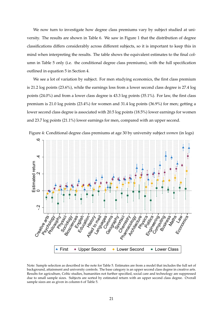We now turn to investigate how degree class premiums vary by subject studied at university. The results are shown in Table 6. We saw in Figure 1 that the distribution of degree classifications differs considerably across different subjects, so it is important to keep this in mind when interpreting the results. The table shows the equivalent estimates to the final column in Table 5 only (i.e. the conditional degree class premiums), with the full specification outlined in equation 5 in Section 4.

We see a lot of variation by subject. For men studying economics, the first class premium is 21.2 log points (23.6%), while the earnings loss from a lower second class degree is 27.4 log points (24.0%) and from a lower class degree is 43.3 log points (35.1%). For law, the first class premium is 21.0 log points (23.4%) for women and 31.4 log points (36.9%) for men; getting a lower second class degree is associated with 20.5 log points (18.5%) lower earnings for women and 23.7 log points (21.1%) lower earnings for men, compared with an upper second.



Note: Sample selection as described in the note for Table 5. Estimates are from a model that includes the full set of background, attainment and university controls. The base category is an upper second class degree in creative arts. Results for agriculture, Celtic studies, humanities not further specified, social care and technology are suppressed due to small sample sizes. Subjects are sorted by estimated return with an upper second class degree. Overall sample sizes are as given in column 6 of Table 5.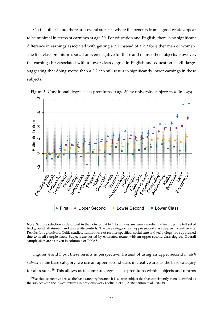On the other hand, there are several subjects where the benefits from a good grade appear to be minimal in terms of earnings at age 30. For education and English, there is no significant difference in earnings associated with getting a 2.1 instead of a 2.2 for either men or women. The first class premium is small or even negative for these and many other subjects. However, the earnings hit associated with a lower class degree in English and education is still large, suggesting that doing worse than a 2.2 can still result in significantly lower earnings in these subjects.



Figure 5: Conditional degree class premiums at age 30 by university subject: *men* (in logs)

Note: Sample selection as described in the note for Table 5. Estimates are from a model that includes the full set of background, attainment and university controls. The base category is an upper second class degree in creative arts. Results for agriculture, Celtic studies, humanities not further specified, social care and technology are suppressed due to small sample sizes. Subjects are sorted by estimated return with an upper second class degree. Overall sample sizes are as given in column 6 of Table 5.

Figures 4 and 5 put these results in perspective. Instead of using an upper second *in each subject* as the base category, we use an upper second class in creative arts as the base category for all results.19 This allows us to compare degree class premiums within subjects and returns

 $19$ We choose creative arts as the base category because it is a large subject that has consistently been identified as the subject with the lowest returns in previous work (Belfield et al., 2018; Britton et al., 2020*b*).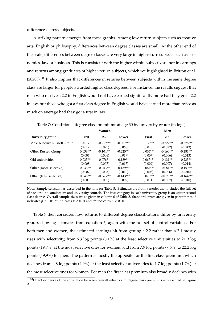differences across subjects.

A striking pattern emerges from these graphs. Among low-return subjects such as creative arts, English or philosophy, differences between degree classes are small. At the other end of the scale, differences between degree classes are very large in high-return subjects such as economics, law or business. This is consistent with the higher within-subject variance in earnings and returns among graduates of higher-return subjects, which we highlighted in Britton et al. (2020b).<sup>20</sup> It also implies that differences in returns between subjects within the same degree class are larger for people awarded higher class degrees. For instance, the results suggest that men who receive a 2.2 in English would not have earned significantly more had they got a 2.2 in law, but those who got a first class degree in English would have earned more than twice as much on average had they got a first in law.

|                              | $\sigma$   |                  | $\sigma$ -  |            | $\sigma$    | $\sim$ $\sim$ $\sim$ |
|------------------------------|------------|------------------|-------------|------------|-------------|----------------------|
|                              |            | Women            |             |            | Men         |                      |
| University group             | First      | $2.2\phantom{0}$ | Lower       | First      | 2.2         | Lower                |
| Most selective Russell Group | 0.017      | $-0.219***$      | $-0.307***$ | $0.133***$ | $-0.222***$ | $-0.278***$          |
|                              | (0.017)    | (0.025)          | (0.068)     | (0.015)    | (0.022)     | (0.043)              |
| Other Russell Group          | $0.033***$ | $-0.104***$      | $-0.225***$ | $0.054***$ | $-0.164***$ | $-0.281***$          |
|                              | (0.006)    | (0.006)          | (0.019)     | (0.007)    | (0.006)     | (0.013)              |
| Old universities             | $0.035***$ | $-0.076***$      | $-0.189***$ | $0.067***$ | $-0.131***$ | $-0.233***$          |
|                              | (0.008)    | (0.007)          | (0.017)     | (0.009)    | (0.007)     | (0.014)              |
| Other (more selective)       | $0.036***$ | $-0.053***$      | $-0.139***$ | $0.064***$ | $-0.081***$ | $-0.159***$          |
|                              | (0.007)    | (0.005)          | (0.010)     | (0.008)    | (0.006)     | (0.010)              |
| Other (least selective)      | $0.048***$ | $-0.063***$      | $-0.143***$ | $0.073***$ | $-0.079***$ | $-0.164***$          |
|                              | (0.009)    | (0.005)          | (0.009)     | (0.011)    | (0.007)     | (0.010)              |

Table 7: Conditional degree class premiums at age 30 by university group (in logs)

Note: Sample selection as described in the note for Table 5. Estimates are from a model that includes the full set of background, attainment and university controls. The base category in each university group is an upper second class degree. Overall sample sizes are as given in column 6 of Table 5. Standard errors are given in parentheses. \* indicates  $p < 0.05$ , \*\* indicates  $p < 0.01$  and \*\*\* indicates  $p < 0.001$ .

Table 7 then considers how returns to different degree classifications differ by university group, showing estimates from equation 6, again with the full set of control variables. For both men and women, the estimated earnings hit from getting a 2.2 rather than a 2.1 mostly rises with selectivity, from 6.3 log points (6.1%) at the least selective universities to 21.9 log points (19.7%) at the most selective ones for women, and from 7.9 log points (7.6%) to 22.2 log points (19.9%) for men. The pattern is mostly the opposite for the first class premium, which declines from 4.8 log points (4.9%) at the least selective universities to 1.7 log points (1.7%) at the most selective ones for women. For men the first class premium also broadly declines with

 $20$ Direct evidence of the correlation between overall returns and degree class premiums is presented in Figure A8.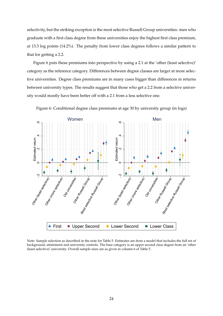selectivity, but the striking exception is the most selective Russell Group universities: men who graduate with a first class degree from these universities enjoy the highest first class premium, at 13.3 log points (14.2%). The penalty from lower class degrees follows a similar pattern to that for getting a 2.2.

Figure 6 puts these premiums into perspective by using a 2.1 at the 'other (least selective)' category as the reference category. Differences between degree classes are larger at more selective universities. Degree class premiums are in many cases bigger than differences in returns between university types. The results suggest that those who get a 2.2 from a selective university would mostly have been better off with a 2.1 from a less selective one.



Figure 6: Conditional degree class premiums at age 30 by university group (in logs)

Note: Sample selection as described in the note for Table 5. Estimates are from a model that includes the full set of background, attainment and university controls. The base category is an upper second class degree from an 'other (least selective)' university. Overall sample sizes are as given in column 6 of Table 5.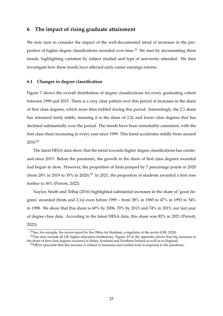# **6 The impact of rising graduate attainment**

We now turn to consider the impact of the well-documented trend of increases in the proportion of higher degree classifications awarded over time.<sup>21</sup> We start by documenting these trends, highlighting variation by subject studied and type of university attended. We then investigate how these trends have affected early-career earnings returns.

#### **6.1 Changes in degree classification**

Figure 7 shows the overall distribution of degree classifications for every graduating cohort between 1999 and 2015. There is a very clear pattern over this period of increases in the share of first class degrees, which more than trebled during this period. Interestingly, the 2.1 share has remained fairly stable, meaning it is the share of 2.2s and lower class degrees that has declined substantially over the period. The trends have been remarkably consistent, with the first class share increasing in every year since 1999. This trend accelerates mildly from around 2010.22

The latest HESA data show that the trend towards higher degree classifications has continued since 2015. Before the pandemic, the growth in the share of first class degrees awarded had begun to slow. However, the proportion of firsts jumped by 7 percentage points in 2020 (from 28% in 2019 to 35% in 2020).<sup>23</sup> In 2021, the proportion of students awarded a first rose further to 36% (Perrott, 2022).

Naylor, Smith and Telhaj (2016) highlighted substantial increases in the share of 'good degrees' awarded (firsts and 2.1s) even before 1999 – from 38% in 1985 to 47% in 1993 to 54% in 1998. We show that this share is 60% by 2006, 70% by 2013 and 74% in 2015, our last year of degree class data. According to the latest HESA data, this share was 82% in 2021 (Perrott, 2022).

 $21$ See, for example, the recent report by the Office for Students, a regulator of the sector (OfS, 2020).

<sup>&</sup>lt;sup>22</sup>Our data include all UK higher education institutions. Figure A5 in the appendix shows that big increases in the share of first class degrees occurred in Wales, Scotland and Northern Ireland as well as in England.

 $^{23}$ HESA speculate that this increase is related to measures universities took in response to the pandemic.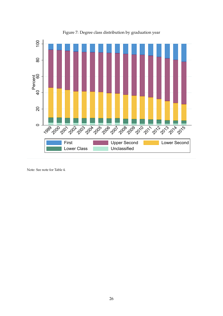

Figure 7: Degree class distribution by graduation year

Note: See note for Table 4.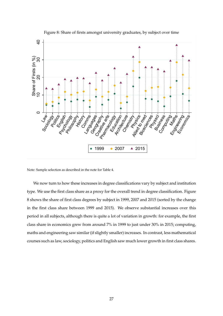

Figure 8: Share of firsts amongst university graduates, by subject over time

Note: Sample selection as described in the note for Table 4.

We now turn to how these increases in degree classifications vary by subject and institution type. We use the first class share as a proxy for the overall trend in degree classification. Figure 8 shows the share of first class degrees by subject in 1999, 2007 and 2015 (sorted by the change in the first class share between 1999 and 2015). We observe substantial increases over this period in all subjects, although there is quite a lot of variation in growth: for example, the first class share in economics grew from around 7% in 1999 to just under 30% in 2015; computing, maths and engineering saw similar (if slightly smaller) increases. In contrast, less mathematical courses such as law, sociology, politics and English saw much lower growth in first class shares.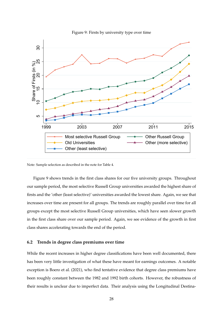

Figure 9: Firsts by university type over time

Note: Sample selection as described in the note for Table 4.

Figure 9 shows trends in the first class shares for our five university groups. Throughout our sample period, the most selective Russell Group universities awarded the highest share of firsts and the 'other (least selective)' universities awarded the lowest share. Again, we see that increases over time are present for all groups. The trends are roughly parallel over time for all groups except the most selective Russell Group universities, which have seen slower growth in the first class share over our sample period. Again, we see evidence of the growth in first class shares accelerating towards the end of the period.

#### **6.2 Trends in degree class premiums over time**

While the recent increases in higher degree classifications have been well documented, there has been very little investigation of what these have meant for earnings outcomes. A notable exception is Boero et al. (2021), who find tentative evidence that degree class premiums have been roughly constant between the 1982 and 1992 birth cohorts. However, the robustness of their results is unclear due to imperfect data. Their analysis using the Longitudinal Destina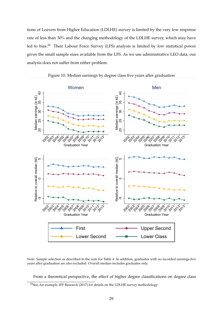tions of Leavers from Higher Education (LDLHE) survey is limited by the very low response rate of less than 30% and the changing methodology of the LDLHE survey, which may have led to bias.<sup>24</sup> Their Labour Force Survey (LFS) analysis is limited by low statistical power given the small sample sizes available from the LFS. As we use administrative LEO data, our analysis does not suffer from either problem.



Figure 10: Median earnings by degree class five years after graduation

Note: Sample selection as described in the note for Table 4. In addition, graduates with no recorded earnings five years after graduation are also excluded. Overall median includes graduates only.

From a theoretical perspective, the effect of higher degree classifications on degree class

<sup>24</sup>See, for example, IFF Research (2017) for details on the LDLHE survey methodology.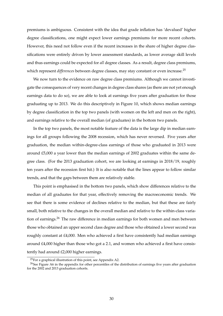premiums is ambiguous. Consistent with the idea that grade inflation has 'devalued' higher degree classifications, one might expect lower earnings premiums for more recent cohorts. However, this need not follow even if the recent increases in the share of higher degree classifications were entirely driven by lower assessment standards, as lower average skill levels and thus earnings could be expected for *all* degree classes. As a result, degree class premiums, which represent *differences* between degree classes, may stay constant or even increase.<sup>25</sup>

We now turn to the evidence on raw degree class premiums. Although we cannot investigate the consequences of very recent changes in degree class shares (as there are not yet enough earnings data to do so), we are able to look at earnings five years after graduation for those graduating up to 2013. We do this descriptively in Figure 10, which shows median earnings by degree classification in the top two panels (with women on the left and men on the right), and earnings relative to the overall median (of graduates) in the bottom two panels.

In the top two panels, the most notable feature of the data is the large dip in median earnings for all groups following the 2008 recession, which has never reversed. Five years after graduation, the median within-degree-class earnings of those who graduated in 2013 were around £5,000 a year lower than the median earnings of 2002 graduates within the same degree class. (For the 2013 graduation cohort, we are looking at earnings in 2018/19, roughly ten years after the recession first hit.) It is also notable that the lines appear to follow similar trends, and that the gaps between them are relatively stable.

This point is emphasised in the bottom two panels, which show differences relative to the median of all graduates for that year, effectively removing the macroeconomic trends. We see that there is some evidence of declines relative to the median, but that these are fairly small, both relative to the changes in the overall median and relative to the within-class variation of earnings.<sup>26</sup> The raw difference in median earnings for both women and men between those who obtained an upper second class degree and those who obtained a lower second was roughly constant at £4,000. Men who achieved a first have consistently had median earnings around £4,000 higher than those who got a 2.1, and women who achieved a first have consistently had around £2,000 higher earnings.

<sup>25</sup>For a graphical illustration of this point, see Appendix A2.

<sup>&</sup>lt;sup>26</sup>See Figure A6 in the appendix for other percentiles of the distribution of earnings five years after graduation for the 2002 and 2013 graduation cohorts.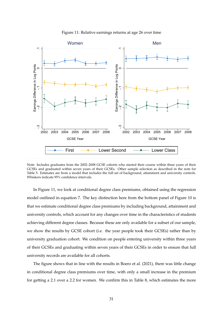

#### Figure 11: Relative earnings returns at age 26 over time

Note: Includes graduates from the 2002–2008 GCSE cohorts who started their course within three years of their GCSEs and graduated within seven years of their GCSEs. Other sample selection as described in the note for Table 5. Estimates are from a model that includes the full set of background, attainment and university controls. Whiskers indicate 95% confidence intervals.

In Figure 11, we look at conditional degree class premiums, obtained using the regression model outlined in equation 7. The key distinction here from the bottom panel of Figure 10 is that we estimate conditional degree class premiums by including background, attainment and university controls, which account for any changes over time in the characteristics of students achieving different degree classes. Because these are only available for a subset of our sample, we show the results by GCSE cohort (i.e. the year people took their GCSEs) rather than by university graduation cohort. We condition on people entering university within three years of their GCSEs and graduating within seven years of their GCSEs in order to ensure that full university records are available for all cohorts.

The figure shows that in line with the results in Boero et al. (2021), there was little change in conditional degree class premiums over time, with only a small increase in the premium for getting a 2.1 over a 2.2 for women. We confirm this in Table 8, which estimates the more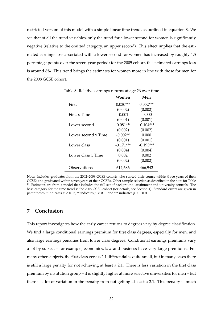restricted version of this model with a simple linear time trend, as outlined in equation 8. We see that of all the trend variables, only the trend for a lower second for women is significantly negative (relative to the omitted category, an upper second). This effect implies that the estimated earnings loss associated with a lower second for women has increased by roughly 1.5 percentage points over the seven-year period; for the 2005 cohort, the estimated earnings loss is around 8%. This trend brings the estimates for women more in line with those for men for the 2008 GCSE cohort.

|                     | Women       | Men         |
|---------------------|-------------|-------------|
| First               | $0.030***$  | $0.052***$  |
|                     | (0.002)     | (0.002)     |
| First x Time        | $-0.001$    | $-0.000$    |
|                     | (0.001)     | (0.001)     |
| Lower second        | $-0.081***$ | $-0.104***$ |
|                     | (0.002)     | (0.002)     |
| Lower second x Time | $-0.002**$  | 0.000       |
|                     | (0.001)     | (0.001)     |
| Lower class         | $-0.171***$ | $-0.193***$ |
|                     | (0.004)     | (0.004)     |
| Lower class x Time  | 0.002       | 0.002       |
|                     | (0.002)     | (0.002)     |
| Observations        | 614,686     | 466,942     |

Table 8: Relative earnings returns at age 26 over time

Note: Includes graduates from the 2002–2008 GCSE cohorts who started their course within three years of their GCSEs and graduated within seven years of their GCSEs. Other sample selection as described in the note for Table 5. Estimates are from a model that includes the full set of background, attainment and university controls. The base category for the time trend is the 2005 GCSE cohort (for details, see Section 4). Standard errors are given in parentheses. \* indicates  $p < 0.05$ , \*\* indicates  $p < 0.01$  and \*\*\* indicates  $p < 0.001$ .

# **7 Conclusion**

This report investigates how the early-career returns to degrees vary by degree classification. We find a large conditional earnings premium for first class degrees, especially for men, and also large earnings penalties from lower class degrees. Conditional earnings premiums vary a lot by subject – for example, economics, law and business have very large premiums. For many other subjects, the first class versus 2.1 differential is quite small, but in many cases there is still a large penalty for not achieving at least a 2.1. There is less variation in the first class premium by institution group – it is slightly higher at more selective universities for men – but there is a lot of variation in the penalty from not getting at least a 2.1. This penalty is much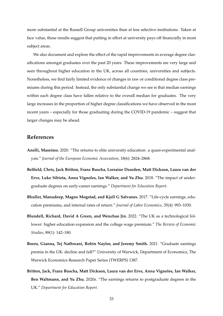more substantial at the Russell Group universities than at less selective institutions. Taken at face value, these results suggest that putting in effort at university pays off financially in most subject areas.

We also document and explore the effect of the rapid improvements in average degree classifications amongst graduates over the past 20 years. These improvements are very large and seen throughout higher education in the UK, across all countries, universities and subjects. Nonetheless, we find fairly limited evidence of changes in raw or conditional degree class premiums during this period. Instead, the only substantial change we see is that median earnings within each degree class have fallen relative to the overall median for graduates. The very large increases in the proportion of higher degree classifications we have observed in the most recent years – especially for those graduating during the COVID-19 pandemic – suggest that larger changes may be ahead.

# **References**

- **Anelli, Massimo.** 2020. "The returns to elite university education: a quasi-experimental analysis." *Journal of the European Economic Association*, 18(6): 2824–2868.
- **Belfield, Chris, Jack Britton, Franz Buscha, Lorraine Dearden, Matt Dickson, Laura van der Erve, Luke Sibieta, Anna Vignoles, Ian Walker, and Yu Zhu.** 2018. "The impact of undergraduate degrees on early-career earnings." *Department for Education Report*.
- **Bhuller, Manudeep, Magne Mogstad, and Kjell G Salvanes.** 2017. "Life-cycle earnings, education premiums, and internal rates of return." *Journal of Labor Economics*, 35(4): 993–1030.
- **Blundell, Richard, David A Green, and Wenchao Jin.** 2022. "The UK as a technological follower: higher education expansion and the college wage premium." *The Review of Economic Studies*, 89(1): 142–180.
- **Boero, Gianna, Tej Nathwani, Robin Naylor, and Jeremy Smith.** 2021. "Graduate earnings premia in the UK: decline and fall?" University of Warwick, Department of Economics, The Warwick Economics Research Paper Series (TWERPS) 1387.
- **Britton, Jack, Franz Buscha, Matt Dickson, Laura van der Erve, Anna Vignoles, Ian Walker, Ben Waltmann, and Yu Zhu.** 2020*a*. "The earnings returns to postgraduate degrees in the UK." *Department for Education Report*.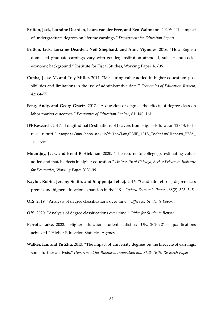- **Britton, Jack, Lorraine Dearden, Laura van der Erve, and Ben Waltmann.** 2020*b*. "The impact of undergraduate degrees on lifetime earnings." *Department for Education Report*.
- **Britton, Jack, Lorraine Dearden, Neil Shephard, and Anna Vignoles.** 2016. "How English domiciled graduate earnings vary with gender, institution attended, subject and socioeconomic background." Institute for Fiscal Studies, Working Paper 16/06.
- **Cunha, Jesse M, and Trey Miller.** 2014. "Measuring value-added in higher education: possibilities and limitations in the use of administrative data." *Economics of Education Review*, 42: 64–77.
- **Feng, Andy, and Georg Graetz.** 2017. "A question of degree: the effects of degree class on labor market outcomes." *Economics of Education Review*, 61: 140–161.
- **IFF Research.** 2017. "Longitudinal Destinations of Leavers from Higher Education 12/13: technical report." [https://www.hesa.ac.uk/files/LongDLHE\\_1213\\_TechnicalReport\\_HESA\\_](https://www.hesa.ac.uk/files/LongDLHE_1213_TechnicalReport_HESA_IFF.pdf) [IFF.pdf](https://www.hesa.ac.uk/files/LongDLHE_1213_TechnicalReport_HESA_IFF.pdf).
- **Mountjoy, Jack, and Brent R Hickman.** 2020. "The returns to college(s): estimating valueadded and match effects in higher education." *University of Chicago, Becker Friedman Institute for Economics, Working Paper 2020-08*.
- **Naylor, Robin, Jeremy Smith, and Shqiponja Telhaj.** 2016. "Graduate returns, degree class premia and higher education expansion in the UK." *Oxford Economic Papers*, 68(2): 525–545.
- **OfS.** 2019. "Analysis of degree classifications over time." *Office for Students Report*.
- **OfS.** 2020. "Analysis of degree classifications over time." *Office for Students Report*.
- **Perrott, Luke.** 2022. "Higher education student statistics: UK, 2020/21 qualifications achieved." Higher Education Statistics Agency.
- **Walker, Ian, and Yu Zhu.** 2013. "The impact of university degrees on the lifecycle of earnings: some further analysis." *Department for Business, Innovation and Skills (BIS) Research Paper*.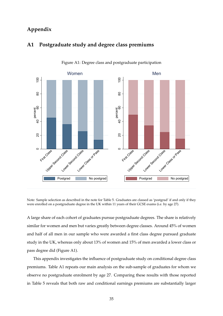# **Appendix**



# **A1 Postgraduate study and degree class premiums**

Figure A1: Degree class and postgraduate participation

Note: Sample selection as described in the note for Table 5. Graduates are classed as 'postgrad' if and only if they were enrolled on a postgraduate degree in the UK within 11 years of their GCSE exams (i.e. by age 27).

A large share of each cohort of graduates pursue postgraduate degrees. The share is relatively similar for women and men but varies greatly between degree classes. Around 45% of women and half of all men in our sample who were awarded a first class degree pursued graduate study in the UK, whereas only about 13% of women and 15% of men awarded a lower class or pass degree did (Figure A1).

This appendix investigates the influence of postgraduate study on conditional degree class premiums. Table A1 repeats our main analysis on the sub-sample of graduates for whom we observe no postgraduate enrolment by age 27. Comparing these results with those reported in Table 5 reveals that both raw and conditional earnings premiums are substantially larger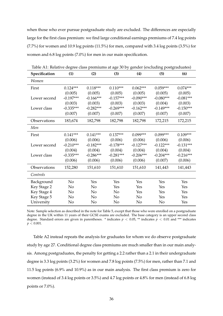when those who ever pursue postgraduate study are excluded. The differences are especially large for the first class premium: we find large conditional earnings premiums of 7.4 log points (7.7%) for women and 10.9 log points (11.5%) for men, compared with 3.4 log points (3.5%) for women and 6.8 log points (7.0%) for men in our main specification.

| Specification | (1)         | (2)            | (3)            | (4)            | (5)         | (6)         |
|---------------|-------------|----------------|----------------|----------------|-------------|-------------|
| Women         |             |                |                |                |             |             |
| First         | $0.124***$  | $0.118***$     | $0.110***$     | $0.062***$     | $0.059***$  | $0.074***$  |
|               | (0.005)     | (0.005)        | (0.005)        | (0.005)        | (0.005)     | (0.005)     |
| Lower second  | $-0.197***$ | $-0.166***$    | $-0.157***$    | $-0.090***$    | $-0.080***$ | $-0.081***$ |
|               | (0.003)     | (0.003)        | (0.003)        | (0.003)        | (0.004)     | (0.003)     |
| Lower class   | $-0.335***$ | $-0.282***$    | $-0.269***$    | $-0.162***$    | $-0.149***$ | $-0.150***$ |
|               | (0.007)     | (0.007)        | (0.007)        | (0.007)        | (0.007)     | (0.007)     |
| Observations  | 183,674     | 182,798        | 182,798        | 182,798        | 172,215     | 172,215     |
| Men           |             |                |                |                |             |             |
| First         | $0.141***$  | $0.141***$     | $0.137***$     | $0.099***$     | 0.099***    | $0.109***$  |
|               | (0.006)     | (0.006)        | (0.006)        | (0.006)        | (0.006)     | (0.006)     |
| Lower second  | $-0.210***$ | $-0.182***$    | $-0.178***$    | $-0.127***$    | $-0.122***$ | $-0.131***$ |
|               | (0.004)     | (0.004)        | (0.004)        | (0.004)        | (0.004)     | (0.004)     |
| Lower class   | $-0.335***$ | $-0.286***$    | $-0.281***$    | $-0.206***$    | $-0.204***$ | $-0.216***$ |
|               | (0.006)     | (0.006)        | (0.006)        | (0.006)        | (0.007)     | (0.006)     |
| Observations  | 152,280     | 151,610        | 151,610        | 151,610        | 141,443     | 141,443     |
| Controls      |             |                |                |                |             |             |
| Background    | No          | Yes            | Yes            | Yes            | Yes         | Yes         |
| Key Stage 2   | No          | No             | Yes            | Yes            | Yes         | Yes         |
| Key Stage 4   | No          | No             | No             | Yes            | Yes         | Yes         |
| Key Stage 5   | No          | N <sub>o</sub> | N <sub>o</sub> | N <sub>o</sub> | Yes         | Yes         |
| University    | No          | No             | No             | No             | No          | Yes         |

Table A1: Relative degree class premiums at age 30 by gender (excluding postgraduates)

Note: Sample selection as described in the note for Table 5, except that those who were enrolled on a postgraduate degree in the UK within 11 years of their GCSE exams are excluded. The base category is an upper second class degree. Standard errors are given in parentheses. \* indicates  $p < 0.05$ , \*\* indicates  $p < 0.01$  and \*\*\* indicates  $p < 0.001$ .

Table A2 instead repeats the analysis for graduates for whom we do observe postgraduate study by age 27. Conditional degree class premiums are much smaller than in our main analysis. Among postgraduates, the penalty for getting a 2.2 rather than a 2.1 in their undergraduate degree is 3.3 log points (3.2%) for women and 7.8 log points (7.5%) for men, rather than 7.1 and 11.5 log points (6.9% and 10.9%) as in our main analysis. The first class premium is zero for women (instead of 3.4 log points or 3.5%) and 4.7 log points or 4.8% for men (instead of 6.8 log points or 7.0%).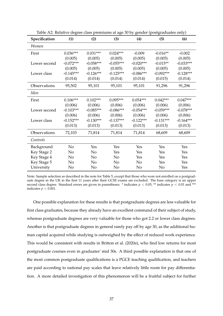| Specification | (1)         | (2)         | (3)         | (4)         | (5)         | (6)         |
|---------------|-------------|-------------|-------------|-------------|-------------|-------------|
| Women         |             |             |             |             |             |             |
| First         | $0.036***$  | $0.031***$  | $0.024***$  | $-0.009$    | $-0.016**$  | $-0.002$    |
|               | (0.005)     | (0.005)     | (0.005)     | (0.005)     | (0.005)     | (0.005)     |
| Lower second  | $-0.072***$ | $-0.058***$ | $-0.055***$ | $-0.020***$ | $-0.015**$  | $-0.033***$ |
|               | (0.005)     | (0.005)     | (0.005)     | (0.005)     | (0.005)     | (0.005)     |
| Lower class   | $-0.145***$ | $-0.126***$ | $-0.125***$ | $-0.086***$ | $-0.092***$ | $-0.128***$ |
|               | (0.014)     | (0.014)     | (0.014)     | (0.014)     | (0.015)     | (0.014)     |
| Observations  | 95,502      | 95,101      | 95,101      | 95,101      | 91,296      | 91,296      |
| Men           |             |             |             |             |             |             |
| First         | $0.106***$  | $0.102***$  | $0.095***$  | $0.054***$  | $0.042***$  | $0.047***$  |
|               | (0.006)     | (0.006)     | (0.006)     | (0.006)     | (0.006)     | (0.006)     |
| Lower second  | $-0.103***$ | $-0.085***$ | $-0.086***$ | $-0.054***$ | $-0.059***$ | $-0.078***$ |
|               | (0.006)     | (0.006)     | (0.006)     | (0.006)     | (0.006)     | (0.006)     |
| Lower class   | $-0.152***$ | $-0.130***$ | $-0.137***$ | $-0.122***$ | $-0.131***$ | $-0.164***$ |
|               | (0.013)     | (0.013)     | (0.013)     | (0.013)     | (0.013)     | (0.013)     |
| Observations  | 72,103      | 71,814      | 71,814      | 71,814      | 68,609      | 68,609      |
| Controls      |             |             |             |             |             |             |
| Background    | No          | Yes         | Yes         | Yes         | Yes         | Yes         |
| Key Stage 2   | No          | No          | Yes         | Yes         | Yes         | Yes         |
| Key Stage 4   | No          | No          | No          | Yes         | Yes         | Yes         |
| Key Stage 5   | No          | No          | No          | No          | Yes         | Yes         |
| University    | No          | No          | No          | No          | No          | Yes         |

Table A2: Relative degree class premiums at age 30 by gender (postgraduates only)

Note: Sample selection as described in the note for Table 5, except that those who were not enrolled on a postgraduate degree in the UK in the first 11 years after their GCSE exams are excluded. The base category is an upper second class degree. Standard errors are given in parentheses. \* indicates  $p < 0.05$ , \*\* indicates  $p < 0.01$  and \*\*\* indicates  $p < 0.001$ .

One possible explanation for these results is that postgraduate degrees are less valuable for first class graduates, because they already have an excellent command of their subject of study, whereas postgraduate degrees are very valuable for those who got 2.2 or lower class degrees. Another is that postgraduate degrees in general rarely pay off by age 30, as the additional human capital acquired while studying is outweighed by the effect of reduced work experience. This would be consistent with results in Britton et al. (2020*a*), who find low returns for most postgraduate courses even in graduates' mid 30s. A third possible explanation is that one of the most common postgraduate qualifications is a PGCE teaching qualification, and teachers are paid according to national pay scales that leave relatively little room for pay differentiation. A more detailed investigation of this phenomenon will be a fruitful subject for further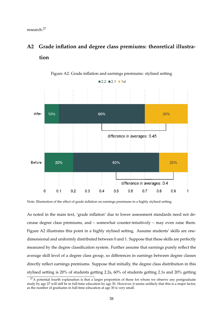research.27

# **A2 Grade inflation and degree class premiums: theoretical illustration**



#### Figure A2: Grade inflation and earnings premiums: stylised setting

Note: Illustration of the effect of grade inflation on earnings premiums in a highly stylised setting.

As noted in the main text, 'grade inflation' due to lower assessment standards need not decrease degree class premiums, and – somewhat counter-intuitively – may even raise them. Figure A2 illustrates this point in a highly stylised setting. Assume students' skills are onedimensional and uniformly distributed between 0 and 1. Suppose that these skills are perfectly measured by the degree classification system. Further assume that earnings purely reflect the average skill level of a degree class group, so differences in earnings between degree classes directly reflect earnings premiums. Suppose that initially, the degree class distribution in this stylised setting is 20% of students getting 2.2s, 60% of students getting 2.1s and 20% getting

 $27A$  potential fourth explanation is that a larger proportion of those for whom we observe any postgraduate study by age 27 will still be in full-time education by age 30. However, it seems unlikely that this is a major factor, as the number of graduates in full-time education at age 30 is very small.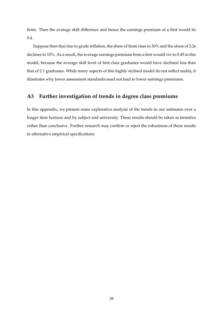firsts. Then the average skill difference and hence the earnings premium of a first would be 0.4.

Suppose then that due to grade inflation, the share of firsts rises to 30% and the share of 2.2s declines to 10%. As a result, the average earnings premium from a first would *rise* to 0.45 in this model, because the average skill level of first class graduates would have declined less than that of 2.1 graduates. While many aspects of this highly stylised model do not reflect reality, it illustrates why lower assessment standards need not lead to lower earnings premiums.

# **A3 Further investigation of trends in degree class premiums**

In this appendix, we present some explorative analysis of the trends in our estimates over a longer time horizon and by subject and university. These results should be taken as tentative rather than conclusive. Further research may confirm or reject the robustness of these results to alternative empirical specifications.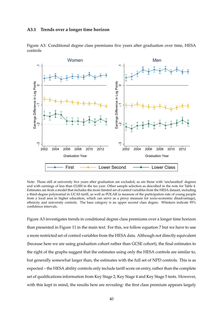#### **A3.1 Trends over a longer time horizon**



Figure A3: Conditional degree class premiums five years after graduation over time, HESA controls

Note: Those still at university five years after graduation are excluded, as are those with 'unclassified' degrees and with earnings of less than £3,000 in the tax year. Other sample selection as described in the note for Table 4. Estimates are from a model that includes the more limited set of control variables from the HESA dataset, including a third-degree polynomial in UCAS tariff, as well as POLAR (a measure of the participation rate of young people from a local area in higher education, which can serve as a proxy measure for socio-economic disadvantage), ethnicity and university controls. The base category is an upper second class degree. Whiskers indicate 95% confidence intervals.

Figure A3 investigates trends in conditional degree class premiums over a longer time horizon than presented in Figure 11 in the main text. For this, we follow equation 7 but we have to use a more restricted set of control variables from the HESA data. Although not directly equivalent (because here we are using graduation cohort rather than GCSE cohort), the final estimates to the right of the graphs suggest that the estimates using only the HESA controls are similar to, but generally somewhat larger than, the estimates with the full set of NPD controls. This is as expected – the HESA ability controls only include tariff score on entry, rather than the complete set of qualifications information from Key Stage 2, Key Stage 4 and Key Stage 5 tests. However, with this kept in mind, the results here are revealing: the first class premium appears largely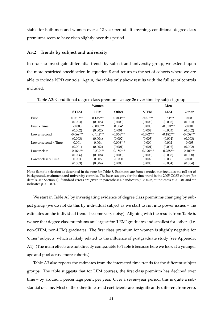stable for both men and women over a 12-year period. If anything, conditional degree class premiums seem to have risen slightly over this period.

#### **A3.2 Trends by subject and university**

In order to investigate differential trends by subject and university group, we extend upon the more restricted specification in equation 8 and return to the set of cohorts where we are able to include NPD controls. Again, the tables only show results with the full set of controls included.

|                     |             | Women       |             |             | Men         |             |
|---------------------|-------------|-------------|-------------|-------------|-------------|-------------|
|                     | <b>STEM</b> | <b>LEM</b>  | Other       | <b>STEM</b> | <b>LEM</b>  | Other       |
| First               | $0.031***$  | $0.135***$  | $-0.014***$ | $0.040***$  | $0.164***$  | $-0.003$    |
|                     | (0.003)     | (0.005)     | (0.003)     | (0.003)     | (0.005)     | (0.004)     |
| First x Time        | $-0.003$    | $-0.008***$ | $0.004*$    | 0.000       | $-0.010***$ | $-0.001$    |
|                     | (0.002)     | (0.002)     | (0.001)     | (0.002)     | (0.003)     | (0.002)     |
| Lower second        | $-0.069***$ | $-0.142***$ | $-0.066***$ | $-0.092***$ | $-0.182***$ | $-0.059***$ |
|                     | (0.003)     | (0.004)     | (0.002)     | (0.003)     | (0.004)     | (0.003)     |
| Lower second x Time | 0.001       | 0.004       | $-0.006***$ | 0.000       | 0.002       | $-0.003$    |
|                     | (0.001)     | (0.002)     | (0.001)     | (0.001)     | (0.002)     | (0.002)     |
| Lower class         | $-0.166***$ | $-0.232***$ | $-0.150***$ | $-0.190***$ | $-0.288***$ | $-0.109***$ |
|                     | (0.006)     | (0.008)     | (0.005)     | (0.005)     | (0.008)     | (0.008)     |
| Lower class x Time  | 0.003       | 0.005       | $-0.000$    | 0.002       | 0.006       | $-0.005$    |
|                     | (0.003)     | (0.004)     | (0.003)     | (0.003)     | (0.004)     | (0.004)     |

Table A3: Conditional degree class premiums at age 26 over time by subject group

Note: Sample selection as described in the note for Table 8. Estimates are from a model that includes the full set of background, attainment and university controls. The base category for the time trend is the 2005 GCSE cohort (for details, see Section 4). Standard errors are given in parentheses. \* indicates *p* < 0.05, \*\* indicates *p* < 0.01 and \*\*\* indicates *p* < 0.001.

We start in Table A3 by investigating evidence of degree class premiums changing by subject group (we do not do this by individual subject as we start to run into power issues – the estimates on the individual trends become very noisy). Aligning with the results from Table 6, we see that degree class premiums are largest for 'LEM' graduates and smallest for 'other' (i.e. non-STEM, non-LEM) graduates. The first class premium for women is slightly negative for 'other' subjects, which is likely related to the influence of postgraduate study (see Appendix A1). (The main effects are not directly comparable to Table 6 because here we look at a younger age and pool across more cohorts.)

Table A3 also reports the estimates from the interacted time trends for the different subject groups. The table suggests that for LEM courses, the first class premium has declined over time – by around 1 percentage point per year. Over a seven-year period, this is quite a substantial decline. Most of the other time trend coefficients are insignificantly different from zero,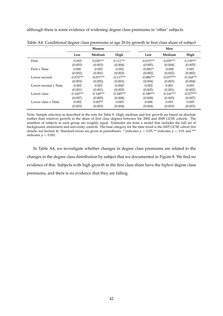although there is some evidence of widening degree class premiums in 'other' subjects.

|                     |             | Women       |             |             | Men         |             |
|---------------------|-------------|-------------|-------------|-------------|-------------|-------------|
|                     | Low         | Medium      | High        | Low         | Medium      | High        |
| First               | $-0.003$    | $0.020***$  | $0.111***$  | $-0.015***$ | $0.035***$  | $0.139***$  |
|                     | (0.003)     | (0.003)     | (0.004)     | (0.005)     | (0.004)     | (0.005)     |
| First x Time        | 0.000       | $-0.002$    | $-0.002$    | $-0.006**$  | $-0.000$    | 0.001       |
|                     | (0.002)     | (0.001)     | (0.002)     | (0.002)     | (0.002)     | (0.002)     |
| Lower second        | $-0.072***$ | $-0.071***$ | $-0.117***$ | $-0.086***$ | $-0.077***$ | $-0.164***$ |
|                     | (0.003)     | (0.002)     | (0.003)     | (0.004)     | (0.003)     | (0.004)     |
| Lower second x Time | $-0.002$    | $-0.001$    | $-0.004*$   | $-0.002$    | 0.001       | 0.001       |
|                     | (0.001)     | (0.001)     | (0.002)     | (0.002)     | (0.001)     | (0.002)     |
| Lower class         | $-0.162***$ | $-0.140***$ | $-0.245***$ | $-0.189***$ | $-0.141***$ | $-0.277***$ |
|                     | (0.007)     | (0.005)     | (0.008)     | (0.008)     | (0.005)     | (0.007)     |
| Lower class x Time  | $-0.002$    | $0.007**$   | $-0.003$    | $-0.006$    | 0.003       | 0.005       |
|                     | (0.003)     | (0.003)     | (0.004)     | (0.004)     | (0.003)     | (0.003)     |

Table A4: Conditional degree class premiums at age 26 by growth in first class share of subject

Note: Sample selection as described in the note for Table 8. High, medium and low growth are based on absolute (rather than relative) growth in the share of first class degrees between the 2002 and 2008 GCSE cohorts. The numbers of subjects in each group are roughly equal. Estimates are from a model that includes the full set of background, attainment and university controls. The base category for the time trend is the 2005 GCSE cohort (for details, see Section 4). Standard errors are given in parentheses. \* indicates *p* < 0.05, \*\* indicates *p* < 0.01 and \*\*\* indicates  $p < 0.001$ .

In Table A4, we investigate whether changes in degree class premiums are related to the changes in the degree class distribution by subject that we documented in Figure 8. We find no evidence of this. Subjects with high growth in the first class share have the *highest* degree class premiums, and there is no evidence that they are falling.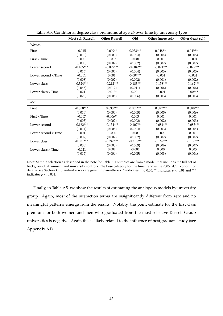|                     | Most sel. Russell | <b>Other Russell</b> | Old         | Other (more sel.) | Other (least sel.) |
|---------------------|-------------------|----------------------|-------------|-------------------|--------------------|
| Women               |                   |                      |             |                   |                    |
| First               | $-0.015$          | $0.009**$            | $0.033***$  | $0.048***$        | $0.049***$         |
|                     | (0.010)           | (0.003)              | (0.004)     | (0.004)           | (0.005)            |
| First x Time        | 0.003             | $-0.002$             | $-0.001$    | 0.001             | $-0.004$           |
|                     | (0.005)           | (0.002)              | (0.002)     | (0.002)           | (0.002)            |
| Lower second        | $-0.105***$       | $-0.099***$          | $-0.084***$ | $-0.071***$       | $-0.077***$        |
|                     | (0.015)           | (0.004)              | (0.004)     | (0.003)           | (0.003)            |
| Lower second x Time | $-0.001$          | 0.001                | $-0.007***$ | $-0.001$          | $-0.002$           |
|                     | (0.008)           | (0.002)              | (0.002)     | (0.001)           | (0.002)            |
| Lower class         | $-0.324***$       | $-0.212***$          | $-0.183***$ | $-0.158***$       | $-0.162***$        |
|                     | (0.048)           | (0.012)              | (0.011)     | (0.006)           | (0.006)            |
| Lower class x Time  | 0.021             | $-0.013*$            | 0.001       | $-0.001$          | $0.008**$          |
|                     | (0.023)           | (0.006)              | (0.006)     | (0.003)           | (0.003)            |
| Men                 |                   |                      |             |                   |                    |
| First               | $-0.058***$       | $0.030***$           | $0.051***$  | $0.082***$        | $0.088***$         |
|                     | (0.010)           | (0.004)              | (0.005)     | (0.005)           | (0.006)            |
| First x Time        | $-0.007$          | $-0.006**$           | 0.003       | 0.001             | 0.001              |
|                     | (0.005)           | (0.002)              | (0.002)     | (0.002)           | (0.003)            |
| Lower second        | $-0.162***$       | $-0.134***$          | $-0.107***$ | $-0.084***$       | $-0.083***$        |
|                     | (0.014)           | (0.004)              | (0.004)     | (0.003)           | (0.004)            |
| Lower second x Time | 0.001             | $-0.000$             | $-0.003$    | $-0.000$          | 0.001              |
|                     | (0.007)           | (0.002)              | (0.002)     | (0.002)           | (0.002)            |
| Lower class         | $-0.321***$       | $-0.248***$          | $-0.215***$ | $-0.162***$       | $-0.158***$        |
|                     | (0.030)           | (0.008)              | (0.009)     | (0.006)           | (0.007)            |
| Lower class x Time  | $-0.021$          | 0.002                | $-0.004$    | 0.000             | 0.005              |
|                     | (0.015)           | (0.004)              | (0.005)     | (0.003)           | (0.004)            |

Table A5: Conditional degree class premiums at age 26 over time by university type

Note: Sample selection as described in the note for Table 8. Estimates are from a model that includes the full set of background, attainment and university controls. The base category for the time trend is the 2005 GCSE cohort (for details, see Section 4). Standard errors are given in parentheses. \* indicates *p* < 0.05, \*\* indicates *p* < 0.01 and \*\*\* indicates  $p < 0.001$ .

Finally, in Table A5, we show the results of estimating the analogous models by university group. Again, most of the interaction terms are insignificantly different from zero and no meaningful patterns emerge from the results. Notably, the point estimate for the first class premium for both women and men who graduated from the most selective Russell Group universities is negative. Again this is likely related to the influence of postgraduate study (see Appendix A1).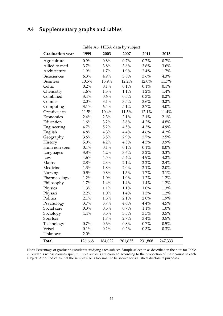# **A4 Supplementary graphs and tables**

 $\overline{a}$ 

| Table Att. TILSA uala by Subject |         |         |         |         |          |  |  |  |
|----------------------------------|---------|---------|---------|---------|----------|--|--|--|
| <b>Graduation year</b>           | 1999    | 2003    | 2007    | 2011    | 2015     |  |  |  |
| Agriculture                      | 0.9%    | 0.8%    | 0.7%    | 0.7%    | 0.7%     |  |  |  |
| Allied to med                    | 3.7%    | 3.8%    | 3.6%    | 3.6%    | 3.6%     |  |  |  |
| Architecture                     | 1.9%    | 1.7%    | 1.9%    | 2.4%    | 1.7%     |  |  |  |
| <b>Biosciences</b>               | 6.3%    | 4.9%    | 3.8%    | 3.6%    | 4.3%     |  |  |  |
| <b>Business</b>                  | 10.5%   | 13.9%   | 12.2%   | 12.0%   | 11.7%    |  |  |  |
| Celtic                           | 0.2%    | 0.1%    | $0.1\%$ | $0.1\%$ | 0.1%     |  |  |  |
| Chemistry                        | 1.6%    | 1.3%    | 1.1%    | 1.2%    | 1.4%     |  |  |  |
| Combined                         | 3.4%    | 0.6%    | 0.5%    | 0.3%    | 0.2%     |  |  |  |
| Comms                            | 2.0%    | 3.1%    | 3.5%    | $3.6\%$ | 3.2%     |  |  |  |
| Computing                        | 3.1%    | 6.4%    | 5.1%    | 3.7%    | 4.0%     |  |  |  |
| Creative arts                    | 11.5%   | 10.4%   | 11.5%   | 12.1%   | $11.4\%$ |  |  |  |
| Economics                        | 2.4%    | 2.3%    | 2.1%    | 2.1%    | 2.1%     |  |  |  |
| Education                        | 1.6%    | 3.2%    | 3.8%    | 4.2%    | 4.8%     |  |  |  |
| Engineering                      | 4.7%    | 5.2%    | 4.5%    | 4.3%    | 4.9%     |  |  |  |
| English                          | 4.8%    | 4.3%    | 4.4%    | 4.6%    | 4.2%     |  |  |  |
| Geography                        | 3.6%    | 3.5%    | 2.9%    | 2.7%    | 2.5%     |  |  |  |
| History                          | 5.0%    | 4.2%    | 4.5%    | 4.3%    | 3.9%     |  |  |  |
| Hum non spec                     | 0.1%    | $0.1\%$ | $0.1\%$ | $0.1\%$ | $0.0\%$  |  |  |  |
| Languages                        | 3.8%    | 4.2%    | 3.6%    | 3.2%    | 3.3%     |  |  |  |
| Law                              | 4.6%    | 4.5%    | 5.4%    | 4.9%    | 4.2%     |  |  |  |
| Maths                            | 2.8%    | 2.3%    | 2.1%    | 2.2%    | 2.4%     |  |  |  |
| Medicine                         | 1.3%    | $1.8\%$ | 2.0%    | 2.1%    | 2.0%     |  |  |  |
| Nursing                          | 0.5%    | 0.8%    | 1.3%    | $1.7\%$ | 3.1%     |  |  |  |
| Pharmacology                     | 1.2%    | 1.0%    | 1.0%    | 1.2%    | 1.2%     |  |  |  |
| Philosophy                       | 1.7%    | 1.4%    | 1.4%    | 1.4%    | 1.2%     |  |  |  |
| Physics                          | 1.3%    | 1.1%    | 1.1%    | 1.0%    | 1.3%     |  |  |  |
| Physsci                          | 2.2%    | $1.0\%$ | 1.4%    | 1.3%    | 1.2%     |  |  |  |
| Politics                         | 2.1%    | 1.8%    | 2.1%    | 2.0%    | 1.9%     |  |  |  |
| Psychology                       | 3.7%    | 3.7%    | 4.6%    | 4.4%    | 4.5%     |  |  |  |
| Social care                      | 0.3%    | 0.5%    | 0.7%    | 1.1%    | 1.0%     |  |  |  |
| Sociology                        | 4.4%    | 3.5%    | 3.5%    | 3.5%    | 3.5%     |  |  |  |
| Sportsci                         |         | 1.7%    | 2.7%    | 3.4%    | 3.5%     |  |  |  |
| Technology                       | 0.7%    | 0.6%    | 0.8%    | $0.7\%$ | 0.5%     |  |  |  |
| Vetsci                           | 0.1%    | 0.2%    | 0.2%    | 0.3%    | 0.3%     |  |  |  |
| Unknown                          | 2.0%    |         |         |         |          |  |  |  |
| <b>Total</b>                     | 126,668 | 184,022 | 201,635 | 231,868 | 247,333  |  |  |  |

Table A6: HESA data by subject

Note: Percentage of graduating students studying each subject. Sample selection as described in the note for Table 2. Students whose courses span multiple subjects are counted according to the proportion of their course in each subject. A dot indicates that the sample size is too small to be shown for statistical disclosure purposes.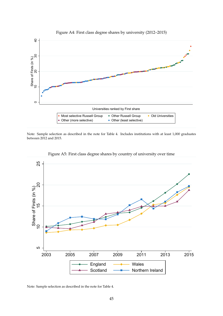

Figure A4: First class degree shares by university (2012–2015)

Note: Sample selection as described in the note for Table 4. Includes institutions with at least 1,000 graduates between 2012 and 2015.



Figure A5: First class degree shares by country of university over time

Note: Sample selection as described in the note for Table 4.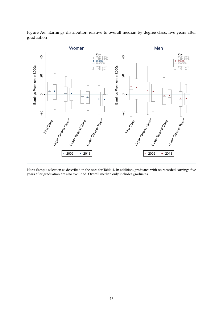Figure A6: Earnings distribution relative to overall median by degree class, five years after graduation



Note: Sample selection as described in the note for Table 4. In addition, graduates with no recorded earnings five years after graduation are also excluded. Overall median only includes graduates.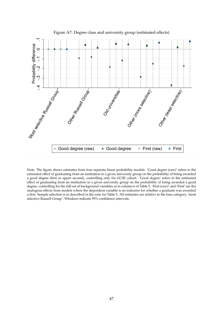

Figure A7: Degree class and university group (estimated effects)

Note: The figure shows estimates from four separate linear probability models. 'Good degree (raw)' refers to the estimated effect of graduating from an institution in a given university group on the probability of being awarded a good degree (first or upper second), controlling only for GCSE cohort. 'Good degree' refers to the estimated effect of graduating from an institution in a given university group on the probability of being awarded a good degree, controlling for the full set of background variables as in column 6 of Table 5. 'First (raw)' and 'First' are the analogous effects from models where the dependent variable is an indicator for whether a graduate was awarded a first. Sample selection is as described in the note for Table 5. All estimates are relative to the base category, 'most selective Russell Group'. Whiskers indicate 95% confidence intervals.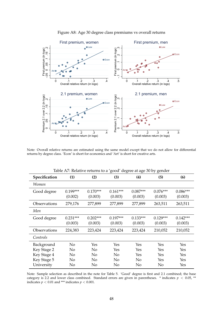

Figure A8: Age 30 degree class premiums vs overall returns

Note: Overall relative returns are estimated using the same model except that we do not allow for differential returns by degree class. 'Econ' is short for economics and 'Art' is short for creative arts.

|               |                       |                       | $\bm{\mathsf{\circ}}$<br>Ō | Ō                     | , ט                   |                       |
|---------------|-----------------------|-----------------------|----------------------------|-----------------------|-----------------------|-----------------------|
| Specification | (1)                   | (2)                   | (3)                        | (4)                   | (5)                   | (6)                   |
| Women         |                       |                       |                            |                       |                       |                       |
| Good degree   | $0.199***$<br>(0.002) | $0.170***$<br>(0.003) | $0.161***$<br>(0.003)      | $0.087***$<br>(0.003) | $0.076***$<br>(0.003) | $0.086***$<br>(0.003) |
| Observations  | 279,176               | 277,899               | 277,899                    | 277,899               | 263,511               | 263,511               |
| Men           |                       |                       |                            |                       |                       |                       |
| Good degree   | $0.231***$<br>(0.003) | $0.202***$<br>(0.003) | $0.197***$<br>(0.003)      | $0.133***$<br>(0.003) | $0.129***$<br>(0.003) | $0.142***$<br>(0.003) |
| Observations  | 224,383               | 223,424               | 223,424                    | 223,424               | 210,052               | 210,052               |
| Controls      |                       |                       |                            |                       |                       |                       |
| Background    | No                    | Yes                   | Yes                        | Yes                   | Yes                   | Yes                   |
| Key Stage 2   | No                    | No                    | Yes                        | Yes                   | Yes                   | Yes                   |
| Key Stage 4   | No                    | No                    | No                         | Yes                   | Yes                   | Yes                   |
| Key Stage 5   | No                    | No                    | No                         | No                    | Yes                   | Yes                   |
| University    | No                    | No                    | No                         | No                    | No                    | Yes                   |

Table A7: Relative returns to a 'good' degree at age 30 by gender

Note: Sample selection as described in the note for Table 5. 'Good' degree is first and 2.1 combined; the base category is 2.2 and lower class combined. Standard errors are given in parentheses. \* indicates  $p < 0.05$ , \*\* indicates  $p < 0.01$  and \*\*\* indicates  $p < 0.001$ .